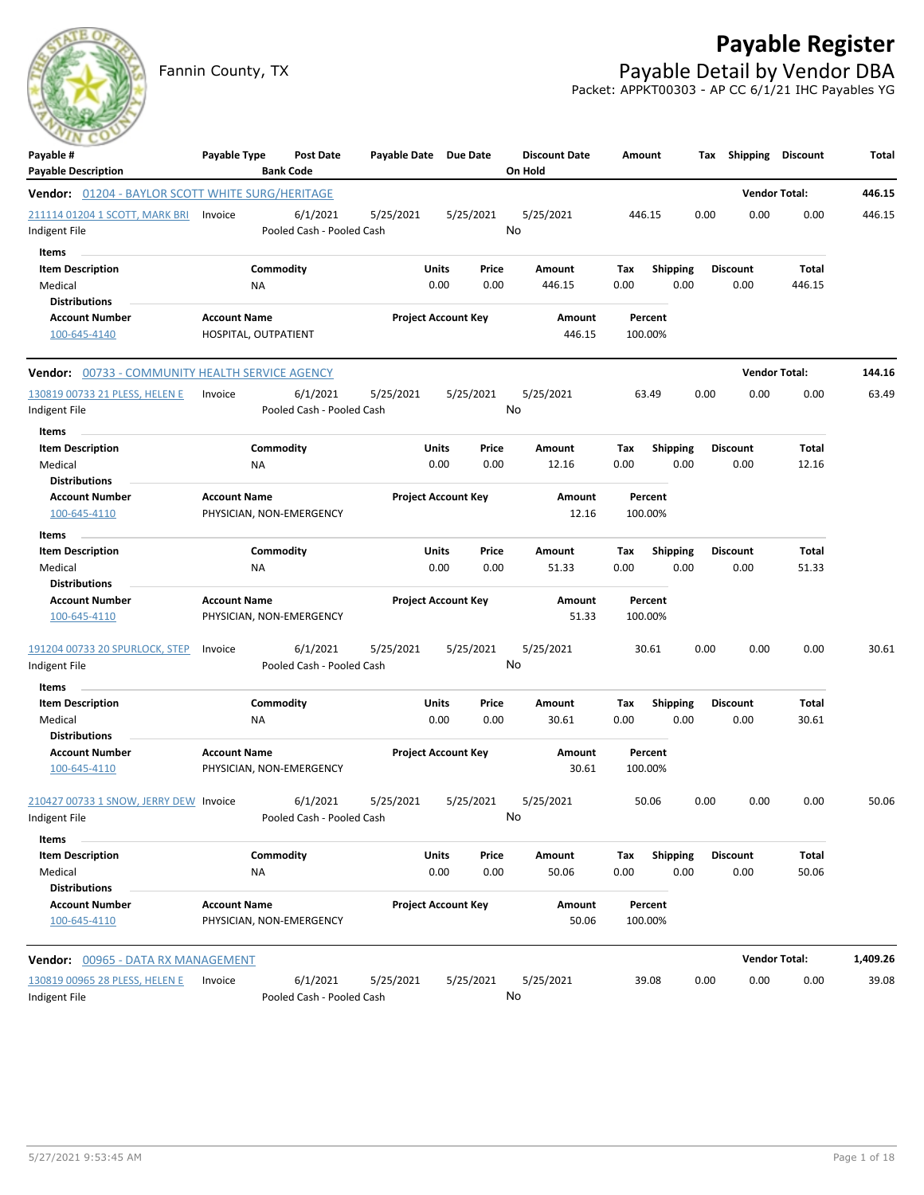

Fannin County, TX **Payable Detail by Vendor DBA** Packet: APPKT00303 - AP CC 6/1/21 IHC Payables YG



| Payable #<br><b>Payable Description</b>                 | Payable Type         | Post Date<br><b>Bank Code</b> | Payable Date Due Date |                            |       | <b>Discount Date</b><br>On Hold | Amount  |                 | Tax  | Shipping        | <b>Discount</b>      | Total    |
|---------------------------------------------------------|----------------------|-------------------------------|-----------------------|----------------------------|-------|---------------------------------|---------|-----------------|------|-----------------|----------------------|----------|
| <b>Vendor:</b> 01204 - BAYLOR SCOTT WHITE SURG/HERITAGE |                      |                               |                       |                            |       |                                 |         |                 |      |                 | <b>Vendor Total:</b> | 446.15   |
| 211114 01204 1 SCOTT, MARK BRI                          | Invoice              | 6/1/2021                      | 5/25/2021             | 5/25/2021                  |       | 5/25/2021                       | 446.15  |                 | 0.00 | 0.00            | 0.00                 | 446.15   |
| Indigent File                                           |                      | Pooled Cash - Pooled Cash     |                       |                            |       | No                              |         |                 |      |                 |                      |          |
| Items                                                   |                      |                               |                       |                            |       |                                 |         |                 |      |                 |                      |          |
| <b>Item Description</b>                                 |                      | Commodity                     |                       | Units                      | Price | Amount                          | Tax     | <b>Shipping</b> |      | <b>Discount</b> | Total                |          |
| Medical                                                 | ΝA                   |                               |                       | 0.00                       | 0.00  | 446.15                          | 0.00    | 0.00            |      | 0.00            | 446.15               |          |
| <b>Distributions</b>                                    |                      |                               |                       |                            |       |                                 |         |                 |      |                 |                      |          |
| <b>Account Number</b>                                   | <b>Account Name</b>  |                               |                       | <b>Project Account Key</b> |       | Amount                          |         | Percent         |      |                 |                      |          |
| 100-645-4140                                            | HOSPITAL, OUTPATIENT |                               |                       |                            |       | 446.15                          | 100.00% |                 |      |                 |                      |          |
| Vendor: 00733 - COMMUNITY HEALTH SERVICE AGENCY         |                      |                               |                       |                            |       |                                 |         |                 |      |                 | <b>Vendor Total:</b> | 144.16   |
| 130819 00733 21 PLESS, HELEN E                          | Invoice              | 6/1/2021                      | 5/25/2021             | 5/25/2021                  |       | 5/25/2021                       |         | 63.49           | 0.00 | 0.00            | 0.00                 | 63.49    |
| Indigent File                                           |                      | Pooled Cash - Pooled Cash     |                       |                            |       | No                              |         |                 |      |                 |                      |          |
| Items                                                   |                      |                               |                       |                            |       |                                 |         |                 |      |                 |                      |          |
| <b>Item Description</b>                                 |                      | Commodity                     |                       | Units                      | Price | Amount                          | Tax     | <b>Shipping</b> |      | <b>Discount</b> | Total                |          |
| Medical                                                 | ΝA                   |                               |                       | 0.00                       | 0.00  | 12.16                           | 0.00    | 0.00            |      | 0.00            | 12.16                |          |
| <b>Distributions</b>                                    |                      |                               |                       |                            |       |                                 |         |                 |      |                 |                      |          |
| <b>Account Number</b>                                   | <b>Account Name</b>  |                               |                       | <b>Project Account Key</b> |       | Amount                          |         | Percent         |      |                 |                      |          |
| 100-645-4110                                            |                      | PHYSICIAN, NON-EMERGENCY      |                       |                            |       | 12.16                           | 100.00% |                 |      |                 |                      |          |
| Items                                                   |                      |                               |                       |                            |       |                                 |         |                 |      |                 |                      |          |
| <b>Item Description</b>                                 |                      | Commodity                     |                       | Units                      | Price | Amount                          | Tax     | <b>Shipping</b> |      | Discount        | Total                |          |
| Medical                                                 | ΝA                   |                               |                       | 0.00                       | 0.00  | 51.33                           | 0.00    | 0.00            |      | 0.00            | 51.33                |          |
| <b>Distributions</b>                                    |                      |                               |                       |                            |       |                                 |         |                 |      |                 |                      |          |
| <b>Account Number</b>                                   | <b>Account Name</b>  |                               |                       | <b>Project Account Key</b> |       | Amount                          |         | Percent         |      |                 |                      |          |
| 100-645-4110                                            |                      | PHYSICIAN, NON-EMERGENCY      |                       |                            |       | 51.33                           | 100.00% |                 |      |                 |                      |          |
| 191204 00733 20 SPURLOCK, STEP                          | Invoice              | 6/1/2021                      | 5/25/2021             | 5/25/2021                  |       | 5/25/2021                       |         | 30.61           | 0.00 | 0.00            | 0.00                 | 30.61    |
| Indigent File                                           |                      | Pooled Cash - Pooled Cash     |                       |                            |       | No                              |         |                 |      |                 |                      |          |
| Items                                                   |                      |                               |                       |                            |       |                                 |         |                 |      |                 |                      |          |
| <b>Item Description</b>                                 |                      | Commodity                     |                       | Units                      | Price | Amount                          | Tax     | Shipping        |      | <b>Discount</b> | Total                |          |
| Medical                                                 | NA                   |                               |                       | 0.00                       | 0.00  | 30.61                           | 0.00    | 0.00            |      | 0.00            | 30.61                |          |
| <b>Distributions</b>                                    |                      |                               |                       |                            |       |                                 |         |                 |      |                 |                      |          |
| <b>Account Number</b>                                   | <b>Account Name</b>  |                               |                       | <b>Project Account Key</b> |       | Amount                          |         | Percent         |      |                 |                      |          |
| 100-645-4110                                            |                      | PHYSICIAN, NON-EMERGENCY      |                       |                            |       | 30.61                           | 100.00% |                 |      |                 |                      |          |
| 210427 00733 1 SNOW, JERRY DEW Invoice                  |                      | 6/1/2021                      | 5/25/2021             | 5/25/2021                  |       | 5/25/2021                       |         | 50.06           | 0.00 | 0.00            | 0.00                 | 50.06    |
| Indigent File                                           |                      | Pooled Cash - Pooled Cash     |                       |                            |       | No                              |         |                 |      |                 |                      |          |
| Items                                                   |                      |                               |                       |                            |       |                                 |         |                 |      |                 |                      |          |
| <b>Item Description</b>                                 |                      | Commodity                     |                       | <b>Units</b>               | Price | Amount                          | Tax     | <b>Shipping</b> |      | <b>Discount</b> | Total                |          |
| Medical                                                 | ΝA                   |                               |                       | 0.00                       | 0.00  | 50.06                           | 0.00    | 0.00            |      | 0.00            | 50.06                |          |
| <b>Distributions</b>                                    |                      |                               |                       |                            |       |                                 |         |                 |      |                 |                      |          |
| <b>Account Number</b>                                   | <b>Account Name</b>  |                               |                       | <b>Project Account Key</b> |       | Amount                          |         | Percent         |      |                 |                      |          |
| 100-645-4110                                            |                      | PHYSICIAN, NON-EMERGENCY      |                       |                            |       | 50.06                           | 100.00% |                 |      |                 |                      |          |
| Vendor: 00965 - DATA RX MANAGEMENT                      |                      |                               |                       |                            |       |                                 |         |                 |      |                 | <b>Vendor Total:</b> | 1,409.26 |
| 130819 00965 28 PLESS, HELEN E                          | Invoice              | 6/1/2021                      | 5/25/2021             | 5/25/2021                  |       | 5/25/2021                       |         | 39.08           | 0.00 | 0.00            | 0.00                 | 39.08    |
| Indigent File                                           |                      | Pooled Cash - Pooled Cash     |                       |                            |       | No                              |         |                 |      |                 |                      |          |
|                                                         |                      |                               |                       |                            |       |                                 |         |                 |      |                 |                      |          |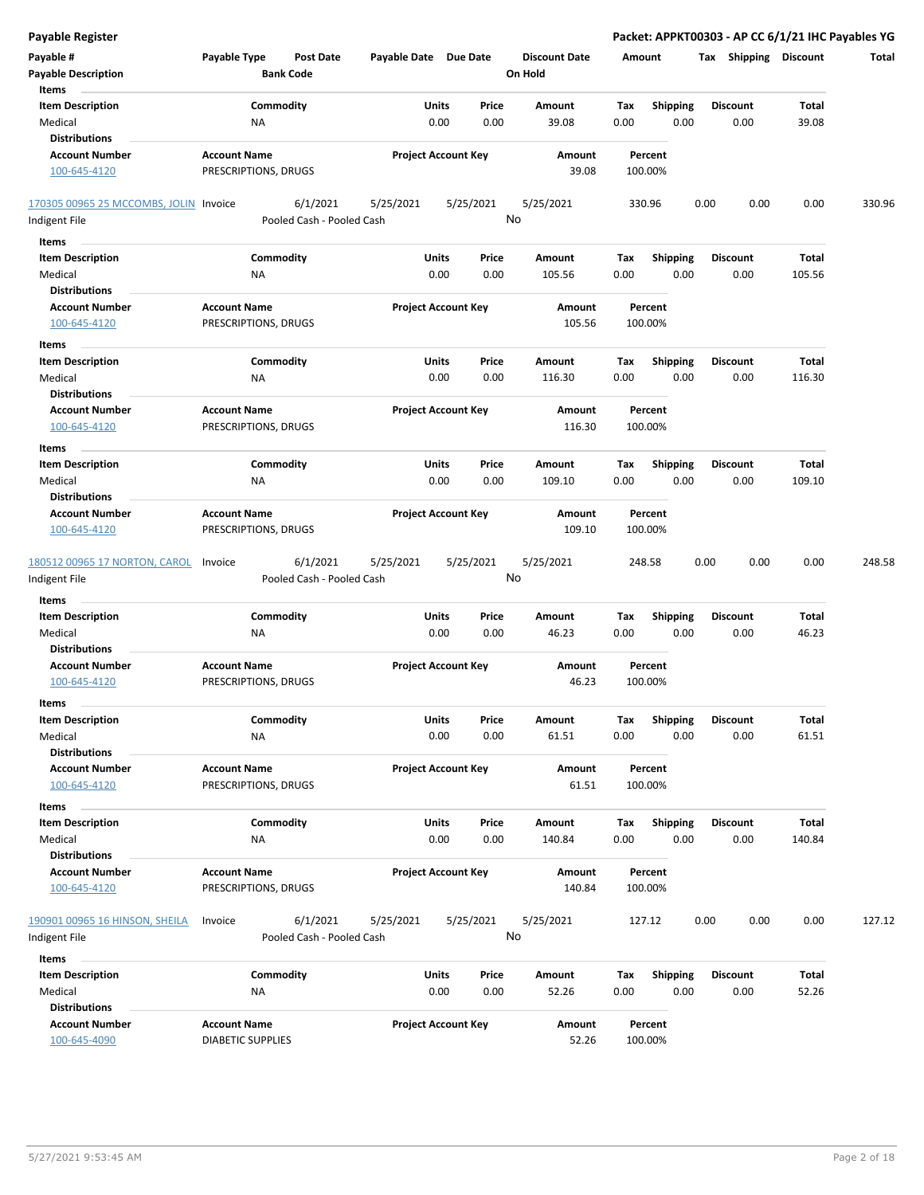| <b>Payable Register</b>                        |                          |                                       |                       |                            |                      |             |                         | Packet: APPKT00303 - AP CC 6/1/21 IHC Payables YG |                |        |
|------------------------------------------------|--------------------------|---------------------------------------|-----------------------|----------------------------|----------------------|-------------|-------------------------|---------------------------------------------------|----------------|--------|
| Payable #                                      | Payable Type             | <b>Post Date</b>                      | Payable Date Due Date |                            | <b>Discount Date</b> | Amount      |                         | Tax Shipping Discount                             |                | Total  |
| <b>Payable Description</b>                     | <b>Bank Code</b>         |                                       |                       |                            | On Hold              |             |                         |                                                   |                |        |
| Items                                          |                          |                                       |                       |                            |                      |             |                         |                                                   |                |        |
| <b>Item Description</b>                        | Commodity                |                                       | Units                 | Price                      | <b>Amount</b>        | Tax         | Shipping                | <b>Discount</b>                                   | <b>Total</b>   |        |
| Medical                                        | NA                       |                                       | 0.00                  | 0.00                       | 39.08                | 0.00        | 0.00                    | 0.00                                              | 39.08          |        |
| <b>Distributions</b>                           |                          |                                       |                       |                            |                      |             |                         |                                                   |                |        |
| <b>Account Number</b>                          | <b>Account Name</b>      |                                       |                       | <b>Project Account Key</b> | Amount               |             | Percent                 |                                                   |                |        |
| 100-645-4120                                   | PRESCRIPTIONS, DRUGS     |                                       |                       |                            | 39.08                |             | 100.00%                 |                                                   |                |        |
| 170305 00965 25 MCCOMBS, JOLIN Invoice         |                          | 6/1/2021                              | 5/25/2021             | 5/25/2021                  | 5/25/2021            |             | 330.96                  | 0.00<br>0.00                                      | 0.00           | 330.96 |
| Indigent File                                  |                          | Pooled Cash - Pooled Cash             |                       |                            | No                   |             |                         |                                                   |                |        |
| Items                                          |                          |                                       |                       |                            |                      |             |                         |                                                   |                |        |
| <b>Item Description</b>                        | Commodity                |                                       | Units                 | Price                      | Amount               | Tax         | <b>Shipping</b>         | <b>Discount</b>                                   | Total          |        |
| Medical                                        | ΝA                       |                                       | 0.00                  | 0.00                       | 105.56               | 0.00        | 0.00                    | 0.00                                              | 105.56         |        |
| <b>Distributions</b>                           |                          |                                       |                       |                            |                      |             |                         |                                                   |                |        |
| <b>Account Number</b>                          | <b>Account Name</b>      |                                       |                       | <b>Project Account Key</b> | Amount               |             | Percent                 |                                                   |                |        |
| 100-645-4120                                   | PRESCRIPTIONS, DRUGS     |                                       |                       |                            | 105.56               |             | 100.00%                 |                                                   |                |        |
| Items                                          |                          |                                       |                       |                            |                      |             |                         |                                                   |                |        |
| <b>Item Description</b>                        | Commodity                |                                       | Units                 | Price                      | <b>Amount</b>        | Tax         | <b>Shipping</b>         | <b>Discount</b>                                   | Total          |        |
| Medical                                        | ΝA                       |                                       | 0.00                  | 0.00                       | 116.30               | 0.00        | 0.00                    | 0.00                                              | 116.30         |        |
| <b>Distributions</b>                           |                          |                                       |                       |                            |                      |             |                         |                                                   |                |        |
| <b>Account Number</b>                          | <b>Account Name</b>      |                                       |                       | <b>Project Account Key</b> | Amount               |             | Percent                 |                                                   |                |        |
| 100-645-4120                                   | PRESCRIPTIONS, DRUGS     |                                       |                       |                            | 116.30               |             | 100.00%                 |                                                   |                |        |
| Items                                          |                          |                                       |                       |                            |                      |             |                         |                                                   |                |        |
| <b>Item Description</b>                        | Commodity                |                                       | Units                 | Price                      | Amount               | Tax         | <b>Shipping</b>         | <b>Discount</b>                                   | <b>Total</b>   |        |
| Medical                                        | ΝA                       |                                       | 0.00                  | 0.00                       | 109.10               | 0.00        | 0.00                    | 0.00                                              | 109.10         |        |
| <b>Distributions</b>                           |                          |                                       |                       |                            |                      |             |                         |                                                   |                |        |
| <b>Account Number</b>                          | <b>Account Name</b>      |                                       |                       | <b>Project Account Key</b> | Amount               |             | Percent                 |                                                   |                |        |
| 100-645-4120                                   | PRESCRIPTIONS, DRUGS     |                                       |                       |                            | 109.10               |             | 100.00%                 |                                                   |                |        |
| 180512 00965 17 NORTON, CAROL<br>Indigent File | Invoice                  | 6/1/2021<br>Pooled Cash - Pooled Cash | 5/25/2021             | 5/25/2021                  | 5/25/2021<br>No      |             | 248.58                  | 0.00<br>0.00                                      | 0.00           | 248.58 |
|                                                |                          |                                       |                       |                            |                      |             |                         |                                                   |                |        |
| Items                                          | Commodity                |                                       |                       |                            |                      |             |                         |                                                   |                |        |
| <b>Item Description</b><br>Medical             | NA                       |                                       | Units<br>0.00         | Price<br>0.00              | Amount<br>46.23      | Tax<br>0.00 | <b>Shipping</b><br>0.00 | <b>Discount</b><br>0.00                           | Total<br>46.23 |        |
| <b>Distributions</b>                           |                          |                                       |                       |                            |                      |             |                         |                                                   |                |        |
| <b>Account Number</b>                          | <b>Account Name</b>      |                                       |                       | <b>Project Account Key</b> | Amount               |             | Percent                 |                                                   |                |        |
| 100-645-4120                                   | PRESCRIPTIONS, DRUGS     |                                       |                       |                            | 46.23                |             | 100.00%                 |                                                   |                |        |
| Items                                          |                          |                                       |                       |                            |                      |             |                         |                                                   |                |        |
| <b>Item Description</b>                        | Commodity                |                                       | <b>Units</b>          | Price                      | Amount               | Tax         | Shipping                | <b>Discount</b>                                   | Total          |        |
| Medical                                        | ΝA                       |                                       | 0.00                  | 0.00                       | 61.51                | 0.00        | 0.00                    | 0.00                                              | 61.51          |        |
| <b>Distributions</b>                           |                          |                                       |                       |                            |                      |             |                         |                                                   |                |        |
| <b>Account Number</b>                          | <b>Account Name</b>      |                                       |                       | <b>Project Account Key</b> | Amount               |             | Percent                 |                                                   |                |        |
| 100-645-4120                                   | PRESCRIPTIONS, DRUGS     |                                       |                       |                            | 61.51                |             | 100.00%                 |                                                   |                |        |
| Items                                          |                          |                                       |                       |                            |                      |             |                         |                                                   |                |        |
| <b>Item Description</b>                        | Commodity                |                                       | Units                 | Price                      | Amount               | Tax         | <b>Shipping</b>         | <b>Discount</b>                                   | Total          |        |
| Medical                                        | NA                       |                                       | 0.00                  | 0.00                       | 140.84               | 0.00        | 0.00                    | 0.00                                              | 140.84         |        |
| <b>Distributions</b>                           |                          |                                       |                       |                            |                      |             |                         |                                                   |                |        |
| <b>Account Number</b>                          | <b>Account Name</b>      |                                       |                       | <b>Project Account Key</b> | Amount               |             | Percent                 |                                                   |                |        |
| 100-645-4120                                   | PRESCRIPTIONS, DRUGS     |                                       |                       |                            | 140.84               |             | 100.00%                 |                                                   |                |        |
|                                                |                          | 6/1/2021                              |                       |                            |                      |             |                         |                                                   |                |        |
| 190901 00965 16 HINSON, SHEILA                 | Invoice                  |                                       | 5/25/2021             | 5/25/2021                  | 5/25/2021<br>No      |             | 127.12                  | 0.00<br>0.00                                      | 0.00           | 127.12 |
| Indigent File                                  |                          | Pooled Cash - Pooled Cash             |                       |                            |                      |             |                         |                                                   |                |        |
| Items                                          |                          |                                       |                       |                            |                      |             |                         |                                                   |                |        |
| <b>Item Description</b>                        | Commodity                |                                       | Units                 | Price                      | Amount               | Tax         | <b>Shipping</b>         | <b>Discount</b>                                   | Total          |        |
| Medical                                        | NA                       |                                       | 0.00                  | 0.00                       | 52.26                | 0.00        | 0.00                    | 0.00                                              | 52.26          |        |
| <b>Distributions</b>                           |                          |                                       |                       |                            |                      |             |                         |                                                   |                |        |
| <b>Account Number</b>                          | <b>Account Name</b>      |                                       |                       | <b>Project Account Key</b> | Amount               |             | Percent                 |                                                   |                |        |
| 100-645-4090                                   | <b>DIABETIC SUPPLIES</b> |                                       |                       |                            | 52.26                |             | 100.00%                 |                                                   |                |        |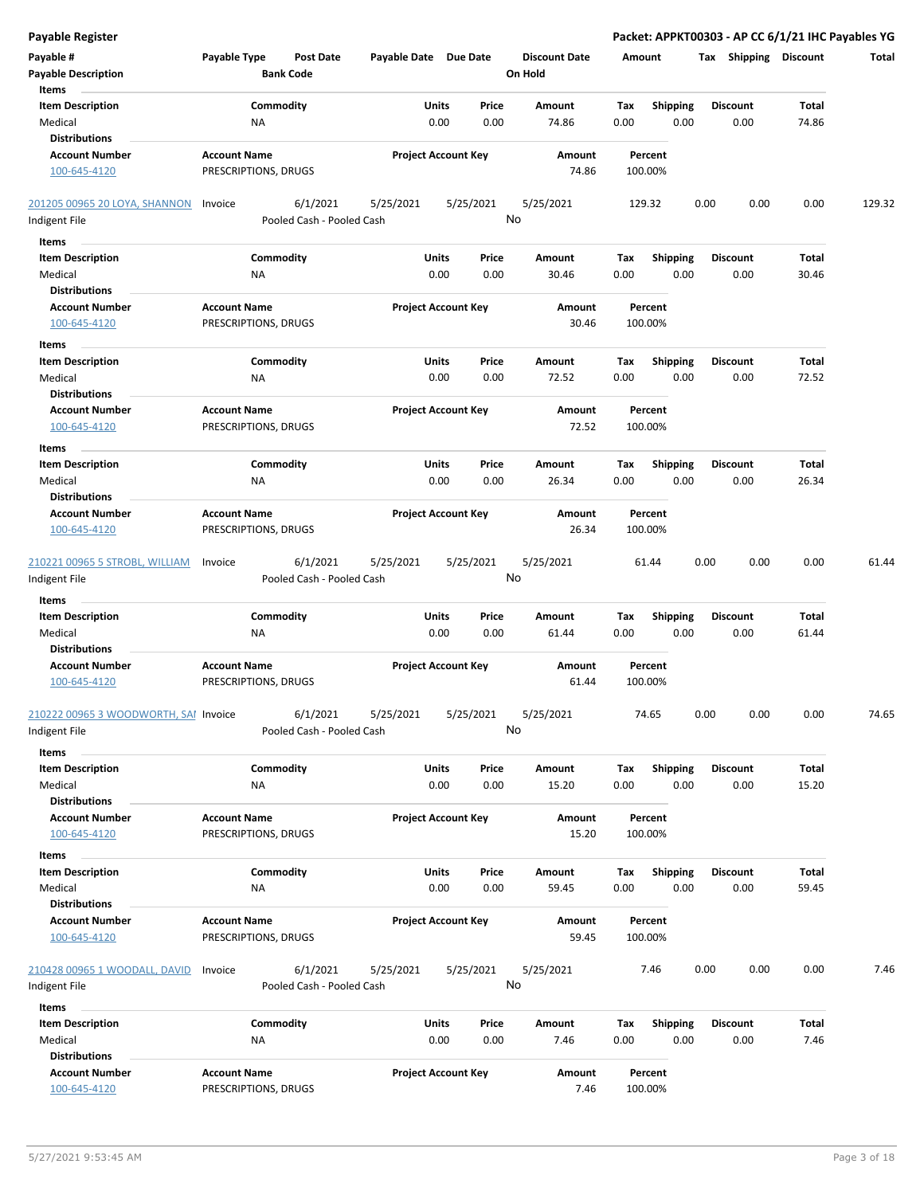| <b>Payable Register</b>                                             |                                             |                                                    |                            |               |                                 |                    |                         | Packet: APPKT00303 - AP CC 6/1/21 IHC Payables YG |                |        |
|---------------------------------------------------------------------|---------------------------------------------|----------------------------------------------------|----------------------------|---------------|---------------------------------|--------------------|-------------------------|---------------------------------------------------|----------------|--------|
| Payable #<br><b>Payable Description</b>                             | Payable Type<br><b>Bank Code</b>            | <b>Post Date</b>                                   | Payable Date Due Date      |               | <b>Discount Date</b><br>On Hold | Amount             |                         | Tax Shipping Discount                             |                | Total  |
| Items<br><b>Item Description</b><br>Medical<br><b>Distributions</b> | Commodity<br>NA                             |                                                    | Units<br>0.00              | Price<br>0.00 | Amount<br>74.86                 | Tax<br>0.00        | Shipping<br>0.00        | <b>Discount</b><br>0.00                           | Total<br>74.86 |        |
| <b>Account Number</b><br>100-645-4120                               | <b>Account Name</b><br>PRESCRIPTIONS, DRUGS |                                                    | <b>Project Account Key</b> |               | Amount<br>74.86                 | Percent<br>100.00% |                         |                                                   |                |        |
| 201205 00965 20 LOYA, SHANNON<br>Indigent File                      | Invoice                                     | 6/1/2021<br>5/25/2021<br>Pooled Cash - Pooled Cash | 5/25/2021                  | No            | 5/25/2021                       | 129.32             |                         | 0.00<br>0.00                                      | 0.00           | 129.32 |
| Items                                                               |                                             |                                                    |                            |               |                                 |                    |                         |                                                   |                |        |
| <b>Item Description</b><br>Medical<br><b>Distributions</b>          | Commodity<br>ΝA                             |                                                    | Units<br>0.00              | Price<br>0.00 | Amount<br>30.46                 | Tax<br>0.00        | <b>Shipping</b><br>0.00 | <b>Discount</b><br>0.00                           | Total<br>30.46 |        |
| <b>Account Number</b><br>100-645-4120                               | <b>Account Name</b><br>PRESCRIPTIONS, DRUGS |                                                    | <b>Project Account Key</b> |               | Amount<br>30.46                 | Percent<br>100.00% |                         |                                                   |                |        |
| Items                                                               |                                             |                                                    |                            |               |                                 |                    |                         |                                                   |                |        |
| <b>Item Description</b><br>Medical<br><b>Distributions</b>          | Commodity<br>NA                             |                                                    | Units<br>0.00              | Price<br>0.00 | Amount<br>72.52                 | Tax<br>0.00        | Shipping<br>0.00        | <b>Discount</b><br>0.00                           | Total<br>72.52 |        |
| <b>Account Number</b><br>100-645-4120                               | <b>Account Name</b><br>PRESCRIPTIONS, DRUGS |                                                    | <b>Project Account Key</b> |               | Amount<br>72.52                 | Percent<br>100.00% |                         |                                                   |                |        |
| Items                                                               |                                             |                                                    |                            |               |                                 |                    |                         |                                                   |                |        |
| <b>Item Description</b><br>Medical<br><b>Distributions</b>          | Commodity<br>ΝA                             |                                                    | Units<br>0.00              | Price<br>0.00 | Amount<br>26.34                 | Tax<br>0.00        | <b>Shipping</b><br>0.00 | <b>Discount</b><br>0.00                           | Total<br>26.34 |        |
| <b>Account Number</b><br>100-645-4120                               | <b>Account Name</b><br>PRESCRIPTIONS, DRUGS |                                                    | <b>Project Account Key</b> |               | Amount<br>26.34                 | Percent<br>100.00% |                         |                                                   |                |        |
| 210221 00965 5 STROBL, WILLIAM<br>Indigent File                     | Invoice                                     | 6/1/2021<br>5/25/2021<br>Pooled Cash - Pooled Cash | 5/25/2021                  | No            | 5/25/2021                       | 61.44              |                         | 0.00<br>0.00                                      | 0.00           | 61.44  |
| Items                                                               |                                             |                                                    |                            |               |                                 |                    |                         |                                                   |                |        |
| <b>Item Description</b><br>Medical<br><b>Distributions</b>          | Commodity<br>NA                             |                                                    | Units<br>0.00              | Price<br>0.00 | Amount<br>61.44                 | Tax<br>0.00        | <b>Shipping</b><br>0.00 | Discount<br>0.00                                  | Total<br>61.44 |        |
| <b>Account Number</b><br>100-645-4120                               | <b>Account Name</b><br>PRESCRIPTIONS, DRUGS |                                                    | <b>Project Account Key</b> |               | Amount<br>61.44                 | Percent<br>100.00% |                         |                                                   |                |        |
| 210222 00965 3 WOODWORTH, SAI Invoice<br>Indigent File              |                                             | 6/1/2021<br>5/25/2021<br>Pooled Cash - Pooled Cash | 5/25/2021                  | No            | 5/25/2021                       | 74.65              |                         | 0.00<br>0.00                                      | 0.00           | 74.65  |
| <b>Items</b>                                                        |                                             |                                                    |                            |               |                                 |                    |                         |                                                   |                |        |
| <b>Item Description</b><br>Medical                                  | Commodity<br>NA                             |                                                    | Units<br>0.00              | Price<br>0.00 | Amount<br>15.20                 | Tax<br>0.00        | <b>Shipping</b><br>0.00 | <b>Discount</b><br>0.00                           | Total<br>15.20 |        |
| <b>Distributions</b><br><b>Account Number</b><br>100-645-4120       | <b>Account Name</b><br>PRESCRIPTIONS, DRUGS |                                                    | <b>Project Account Key</b> |               | Amount<br>15.20                 | Percent<br>100.00% |                         |                                                   |                |        |
| Items                                                               |                                             |                                                    |                            |               |                                 |                    |                         |                                                   |                |        |
| <b>Item Description</b><br>Medical                                  | Commodity<br>ΝA                             |                                                    | Units<br>0.00              | Price<br>0.00 | Amount<br>59.45                 | Tax<br>0.00        | <b>Shipping</b><br>0.00 | Discount<br>0.00                                  | Total<br>59.45 |        |
| <b>Distributions</b><br><b>Account Number</b><br>100-645-4120       | <b>Account Name</b><br>PRESCRIPTIONS, DRUGS |                                                    | <b>Project Account Key</b> |               | Amount<br>59.45                 | Percent<br>100.00% |                         |                                                   |                |        |
| 210428 00965 1 WOODALL, DAVID<br>Indigent File                      | Invoice                                     | 6/1/2021<br>5/25/2021<br>Pooled Cash - Pooled Cash | 5/25/2021                  | No            | 5/25/2021                       | 7.46               |                         | 0.00<br>0.00                                      | 0.00           | 7.46   |
| Items                                                               |                                             |                                                    |                            |               |                                 |                    |                         |                                                   |                |        |
| <b>Item Description</b><br>Medical<br><b>Distributions</b>          | Commodity<br>NA                             |                                                    | Units<br>0.00              | Price<br>0.00 | Amount<br>7.46                  | Tax<br>0.00        | <b>Shipping</b><br>0.00 | <b>Discount</b><br>0.00                           | Total<br>7.46  |        |
| <b>Account Number</b><br>100-645-4120                               | <b>Account Name</b><br>PRESCRIPTIONS, DRUGS |                                                    | <b>Project Account Key</b> |               | Amount<br>7.46                  | Percent<br>100.00% |                         |                                                   |                |        |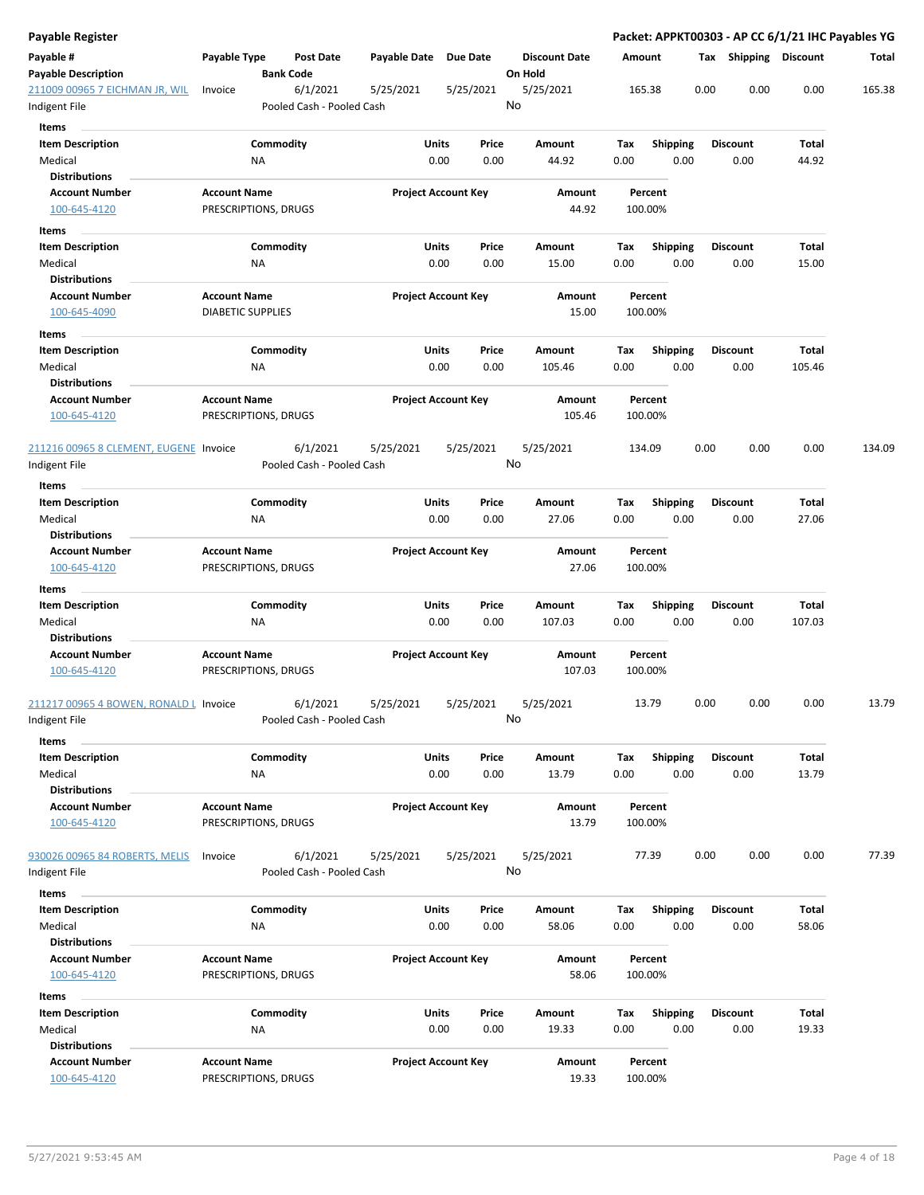| Payable Register                                        |                                             |                  |                                       |                       |                            |    |                                 |             |                         |      |                         | Packet: APPKT00303 - AP CC 6/1/21 IHC Payables YG |        |
|---------------------------------------------------------|---------------------------------------------|------------------|---------------------------------------|-----------------------|----------------------------|----|---------------------------------|-------------|-------------------------|------|-------------------------|---------------------------------------------------|--------|
| Payable #<br><b>Payable Description</b>                 | Payable Type                                | <b>Bank Code</b> | <b>Post Date</b>                      | Payable Date Due Date |                            |    | <b>Discount Date</b><br>On Hold | Amount      |                         |      | Tax Shipping Discount   |                                                   | Total  |
| 211009 00965 7 EICHMAN JR, WIL<br>Indigent File         | Invoice                                     |                  | 6/1/2021<br>Pooled Cash - Pooled Cash | 5/25/2021             | 5/25/2021                  | No | 5/25/2021                       |             | 165.38                  | 0.00 | 0.00                    | 0.00                                              | 165.38 |
| Items                                                   |                                             |                  |                                       |                       |                            |    |                                 |             |                         |      |                         |                                                   |        |
| <b>Item Description</b><br>Medical                      |                                             | Commodity<br>ΝA  |                                       | Units                 | Price<br>0.00<br>0.00      |    | Amount<br>44.92                 | Tax<br>0.00 | <b>Shipping</b><br>0.00 |      | <b>Discount</b><br>0.00 | Total<br>44.92                                    |        |
| Distributions                                           |                                             |                  |                                       |                       |                            |    |                                 |             |                         |      |                         |                                                   |        |
| <b>Account Number</b>                                   | <b>Account Name</b>                         |                  |                                       |                       | <b>Project Account Key</b> |    | Amount                          |             | Percent                 |      |                         |                                                   |        |
| 100-645-4120                                            | PRESCRIPTIONS, DRUGS                        |                  |                                       |                       |                            |    | 44.92                           |             | 100.00%                 |      |                         |                                                   |        |
| Items<br><b>Item Description</b>                        |                                             | Commodity        |                                       | Units                 | Price                      |    | Amount                          | Тах         | <b>Shipping</b>         |      | <b>Discount</b>         | Total                                             |        |
| Medical                                                 |                                             | ΝA               |                                       |                       | 0.00<br>0.00               |    | 15.00                           | 0.00        | 0.00                    |      | 0.00                    | 15.00                                             |        |
| <b>Distributions</b>                                    |                                             |                  |                                       |                       |                            |    |                                 |             |                         |      |                         |                                                   |        |
| <b>Account Number</b>                                   | <b>Account Name</b>                         |                  |                                       |                       | <b>Project Account Key</b> |    | Amount                          |             | Percent                 |      |                         |                                                   |        |
| 100-645-4090                                            | <b>DIABETIC SUPPLIES</b>                    |                  |                                       |                       |                            |    | 15.00                           |             | 100.00%                 |      |                         |                                                   |        |
| Items                                                   |                                             |                  |                                       |                       |                            |    |                                 |             |                         |      |                         |                                                   |        |
| Item Description                                        |                                             | Commodity        |                                       | Units                 | Price                      |    | Amount                          | Tax         | <b>Shipping</b>         |      | <b>Discount</b>         | Total                                             |        |
| Medical<br><b>Distributions</b>                         |                                             | ΝA               |                                       |                       | 0.00<br>0.00               |    | 105.46                          | 0.00        | 0.00                    |      | 0.00                    | 105.46                                            |        |
| <b>Account Number</b>                                   | <b>Account Name</b>                         |                  |                                       |                       | <b>Project Account Key</b> |    | Amount                          |             | Percent                 |      |                         |                                                   |        |
| 100-645-4120                                            | PRESCRIPTIONS, DRUGS                        |                  |                                       |                       |                            |    | 105.46                          |             | 100.00%                 |      |                         |                                                   |        |
| 211216 00965 8 CLEMENT, EUGENE Invoice<br>Indigent File |                                             |                  | 6/1/2021<br>Pooled Cash - Pooled Cash | 5/25/2021             | 5/25/2021                  | No | 5/25/2021                       |             | 134.09                  | 0.00 | 0.00                    | 0.00                                              | 134.09 |
| Items                                                   |                                             |                  |                                       |                       |                            |    |                                 |             |                         |      |                         |                                                   |        |
| <b>Item Description</b><br>Medical                      |                                             | Commodity<br>NA  |                                       | Units                 | Price<br>0.00<br>0.00      |    | Amount<br>27.06                 | Tax<br>0.00 | <b>Shipping</b><br>0.00 |      | <b>Discount</b><br>0.00 | Total<br>27.06                                    |        |
| <b>Distributions</b>                                    |                                             |                  |                                       |                       |                            |    |                                 |             |                         |      |                         |                                                   |        |
| <b>Account Number</b><br>100-645-4120                   | <b>Account Name</b><br>PRESCRIPTIONS, DRUGS |                  |                                       |                       | <b>Project Account Key</b> |    | Amount<br>27.06                 |             | Percent<br>100.00%      |      |                         |                                                   |        |
| Items                                                   |                                             |                  |                                       |                       |                            |    |                                 |             |                         |      |                         |                                                   |        |
| <b>Item Description</b>                                 |                                             | Commodity        |                                       | Units                 | Price                      |    | Amount                          | Тах         | <b>Shipping</b>         |      | <b>Discount</b>         | Total                                             |        |
| Medical                                                 |                                             | ΝA               |                                       |                       | 0.00<br>0.00               |    | 107.03                          | 0.00        | 0.00                    |      | 0.00                    | 107.03                                            |        |
| Distributions                                           |                                             |                  |                                       |                       |                            |    |                                 |             |                         |      |                         |                                                   |        |
| <b>Account Number</b><br>100-645-4120                   | <b>Account Name</b><br>PRESCRIPTIONS, DRUGS |                  |                                       |                       | <b>Project Account Key</b> |    | Amount<br>107.03                |             | Percent<br>100.00%      |      |                         |                                                   |        |
| 211217 00965 4 BOWEN, RONALD L Invoice                  |                                             |                  | 6/1/2021                              | 5/25/2021             | 5/25/2021                  |    | 5/25/2021                       |             | 13.79                   | 0.00 | 0.00                    | 0.00                                              | 13.79  |
| ndigent File                                            |                                             |                  | Pooled Cash - Pooled Cash             |                       |                            | No |                                 |             |                         |      |                         |                                                   |        |
| Items                                                   |                                             |                  |                                       |                       |                            |    |                                 |             |                         |      |                         |                                                   |        |
| <b>Item Description</b>                                 |                                             | Commodity        |                                       |                       | Units<br>Price             |    | Amount                          | Tax         | <b>Shipping</b>         |      | <b>Discount</b>         | Total                                             |        |
| Medical                                                 |                                             | ΝA               |                                       |                       | 0.00<br>0.00               |    | 13.79                           | 0.00        | 0.00                    |      | 0.00                    | 13.79                                             |        |
| <b>Distributions</b>                                    |                                             |                  |                                       |                       |                            |    |                                 |             |                         |      |                         |                                                   |        |
| <b>Account Number</b><br>100-645-4120                   | <b>Account Name</b><br>PRESCRIPTIONS, DRUGS |                  |                                       |                       | <b>Project Account Key</b> |    | Amount<br>13.79                 |             | Percent<br>100.00%      |      |                         |                                                   |        |
| 930026 00965 84 ROBERTS, MELIS<br>Indigent File         | Invoice                                     |                  | 6/1/2021<br>Pooled Cash - Pooled Cash | 5/25/2021             | 5/25/2021                  | No | 5/25/2021                       |             | 77.39                   | 0.00 | 0.00                    | 0.00                                              | 77.39  |
| Items                                                   |                                             |                  |                                       |                       |                            |    |                                 |             |                         |      |                         |                                                   |        |
| <b>Item Description</b>                                 |                                             | Commodity        |                                       | Units                 | Price                      |    | Amount                          | Tax         | <b>Shipping</b>         |      | <b>Discount</b>         | Total                                             |        |
| Medical                                                 |                                             | NA               |                                       |                       | 0.00<br>0.00               |    | 58.06                           | 0.00        | 0.00                    |      | 0.00                    | 58.06                                             |        |
| <b>Distributions</b>                                    |                                             |                  |                                       |                       |                            |    |                                 |             |                         |      |                         |                                                   |        |
| <b>Account Number</b>                                   | <b>Account Name</b>                         |                  |                                       |                       | <b>Project Account Key</b> |    | Amount                          |             | Percent                 |      |                         |                                                   |        |
| 100-645-4120                                            | PRESCRIPTIONS, DRUGS                        |                  |                                       |                       |                            |    | 58.06                           |             | 100.00%                 |      |                         |                                                   |        |
|                                                         |                                             |                  |                                       |                       |                            |    |                                 |             |                         |      |                         |                                                   |        |
| Items<br><b>Item Description</b>                        |                                             | Commodity        |                                       |                       | Units<br>Price             |    | Amount                          | Tax         | <b>Shipping</b>         |      | <b>Discount</b>         | Total                                             |        |
| Medical                                                 |                                             | NA               |                                       |                       | 0.00<br>0.00               |    | 19.33                           | 0.00        | 0.00                    |      | 0.00                    | 19.33                                             |        |
| <b>Distributions</b>                                    |                                             |                  |                                       |                       |                            |    |                                 |             |                         |      |                         |                                                   |        |
| <b>Account Number</b>                                   | <b>Account Name</b>                         |                  |                                       |                       | <b>Project Account Key</b> |    | Amount                          |             | Percent                 |      |                         |                                                   |        |
| 100-645-4120                                            | PRESCRIPTIONS, DRUGS                        |                  |                                       |                       |                            |    | 19.33                           |             | 100.00%                 |      |                         |                                                   |        |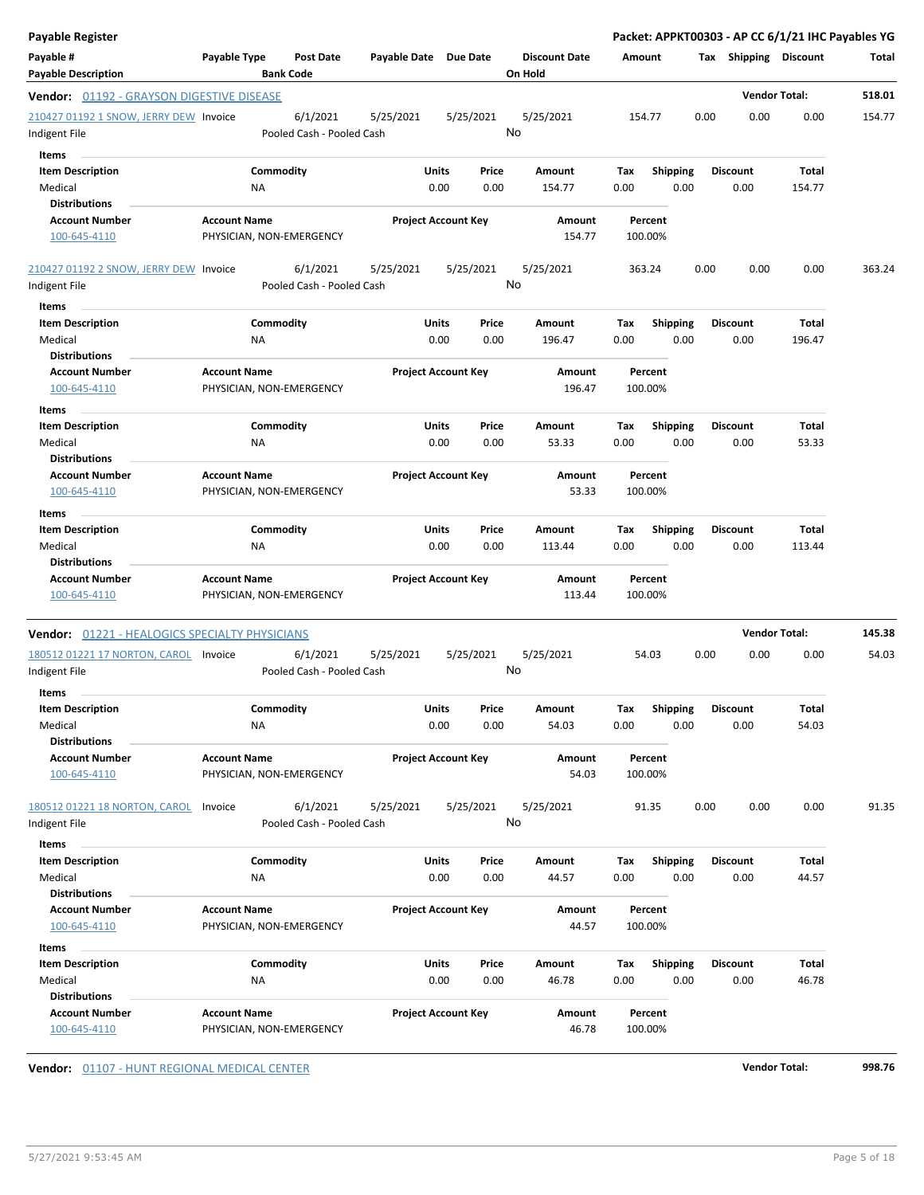| <b>Payable Register</b>                                       |                                                 |                                       |                       |                                |                                 |             |                         |      |                         | Packet: APPKT00303 - AP CC 6/1/21 IHC Payables YG |        |
|---------------------------------------------------------------|-------------------------------------------------|---------------------------------------|-----------------------|--------------------------------|---------------------------------|-------------|-------------------------|------|-------------------------|---------------------------------------------------|--------|
| Payable #<br><b>Payable Description</b>                       | Payable Type                                    | <b>Post Date</b><br><b>Bank Code</b>  | Payable Date Due Date |                                | <b>Discount Date</b><br>On Hold |             | Amount                  |      | Tax Shipping Discount   |                                                   | Total  |
| Vendor: 01192 - GRAYSON DIGESTIVE DISEASE                     |                                                 |                                       |                       |                                |                                 |             |                         |      |                         | <b>Vendor Total:</b>                              | 518.01 |
| 210427 01192 1 SNOW, JERRY DEW Invoice<br>Indigent File       |                                                 | 6/1/2021<br>Pooled Cash - Pooled Cash | 5/25/2021             | 5/25/2021                      | 5/25/2021<br>No                 |             | 154.77                  | 0.00 | 0.00                    | 0.00                                              | 154.77 |
| Items                                                         |                                                 |                                       |                       |                                |                                 |             |                         |      |                         |                                                   |        |
| <b>Item Description</b><br>Medical<br><b>Distributions</b>    | Commodity<br>NA                                 |                                       |                       | Units<br>Price<br>0.00<br>0.00 | Amount<br>154.77                | Tax<br>0.00 | <b>Shipping</b><br>0.00 |      | <b>Discount</b><br>0.00 | Total<br>154.77                                   |        |
| <b>Account Number</b>                                         | <b>Account Name</b>                             |                                       |                       | <b>Project Account Key</b>     | Amount                          |             | Percent                 |      |                         |                                                   |        |
| 100-645-4110                                                  | PHYSICIAN, NON-EMERGENCY                        |                                       |                       |                                | 154.77                          |             | 100.00%                 |      |                         |                                                   |        |
| 210427 01192 2 SNOW, JERRY DEW Invoice<br>Indigent File       |                                                 | 6/1/2021<br>Pooled Cash - Pooled Cash | 5/25/2021             | 5/25/2021                      | 5/25/2021<br>No                 |             | 363.24                  | 0.00 | 0.00                    | 0.00                                              | 363.24 |
| Items                                                         |                                                 |                                       |                       |                                |                                 |             |                         |      |                         |                                                   |        |
| <b>Item Description</b><br>Medical                            | Commodity<br>NA                                 |                                       |                       | Units<br>Price<br>0.00<br>0.00 | Amount<br>196.47                | Tax<br>0.00 | <b>Shipping</b><br>0.00 |      | <b>Discount</b><br>0.00 | Total<br>196.47                                   |        |
| <b>Distributions</b><br><b>Account Number</b><br>100-645-4110 | <b>Account Name</b><br>PHYSICIAN, NON-EMERGENCY |                                       |                       | <b>Project Account Key</b>     | Amount<br>196.47                |             | Percent<br>100.00%      |      |                         |                                                   |        |
|                                                               |                                                 |                                       |                       |                                |                                 |             |                         |      |                         |                                                   |        |
| Items<br><b>Item Description</b>                              | Commodity                                       |                                       |                       | Units<br>Price                 | Amount                          | Tax         | <b>Shipping</b>         |      | <b>Discount</b>         | Total                                             |        |
| Medical                                                       | NA                                              |                                       |                       | 0.00<br>0.00                   | 53.33                           | 0.00        | 0.00                    |      | 0.00                    | 53.33                                             |        |
| Distributions                                                 |                                                 |                                       |                       |                                |                                 |             |                         |      |                         |                                                   |        |
| <b>Account Number</b><br>100-645-4110                         | <b>Account Name</b><br>PHYSICIAN, NON-EMERGENCY |                                       |                       | <b>Project Account Key</b>     | Amount<br>53.33                 |             | Percent<br>100.00%      |      |                         |                                                   |        |
| Items                                                         |                                                 |                                       |                       |                                |                                 |             |                         |      |                         |                                                   |        |
| <b>Item Description</b>                                       | Commodity                                       |                                       |                       | <b>Units</b><br>Price          | Amount                          | Tax         | <b>Shipping</b>         |      | <b>Discount</b>         | Total                                             |        |
| Medical                                                       | NA                                              |                                       |                       | 0.00<br>0.00                   | 113.44                          | 0.00        | 0.00                    |      | 0.00                    | 113.44                                            |        |
| <b>Distributions</b>                                          |                                                 |                                       |                       |                                |                                 |             |                         |      |                         |                                                   |        |
| <b>Account Number</b><br>100-645-4110                         | <b>Account Name</b><br>PHYSICIAN, NON-EMERGENCY |                                       |                       | <b>Project Account Key</b>     | Amount<br>113.44                |             | Percent<br>100.00%      |      |                         |                                                   |        |
| <b>Vendor: 01221 - HEALOGICS SPECIALTY PHYSICIANS</b>         |                                                 |                                       |                       |                                |                                 |             |                         |      |                         | <b>Vendor Total:</b>                              | 145.38 |
| 180512 01221 17 NORTON, CAROL Invoice<br>Indigent File        |                                                 | 6/1/2021<br>Pooled Cash - Pooled Cash | 5/25/2021             | 5/25/2021                      | 5/25/2021<br>No                 |             | 54.03                   | 0.00 | 0.00                    | 0.00                                              | 54.03  |
| Items                                                         |                                                 |                                       |                       |                                |                                 |             |                         |      |                         |                                                   |        |
| <b>Item Description</b>                                       | Commodity                                       |                                       |                       | Units<br>Price                 | Amount                          | Tax         | Shipping                |      | <b>Discount</b>         | <b>Total</b>                                      |        |
| Medical<br><b>Distributions</b>                               | NA                                              |                                       |                       | 0.00<br>0.00                   | 54.03                           | 0.00        | 0.00                    |      | 0.00                    | 54.03                                             |        |
| <b>Account Number</b><br>100-645-4110                         | <b>Account Name</b><br>PHYSICIAN, NON-EMERGENCY |                                       |                       | <b>Project Account Key</b>     | Amount<br>54.03                 |             | Percent<br>100.00%      |      |                         |                                                   |        |
| 180512 01221 18 NORTON, CAROL                                 | Invoice                                         | 6/1/2021                              | 5/25/2021             | 5/25/2021                      | 5/25/2021                       |             | 91.35                   | 0.00 | 0.00                    | 0.00                                              | 91.35  |
| Indigent File                                                 |                                                 | Pooled Cash - Pooled Cash             |                       |                                | No                              |             |                         |      |                         |                                                   |        |
| Items                                                         |                                                 |                                       |                       |                                |                                 |             |                         |      |                         |                                                   |        |
| <b>Item Description</b>                                       | Commodity                                       |                                       |                       | Units<br>Price                 | Amount                          | Tax         | <b>Shipping</b>         |      | <b>Discount</b>         | Total                                             |        |
| Medical                                                       | NA                                              |                                       |                       | 0.00<br>0.00                   | 44.57                           | 0.00        | 0.00                    |      | 0.00                    | 44.57                                             |        |
| <b>Distributions</b><br><b>Account Number</b>                 | <b>Account Name</b>                             |                                       |                       | <b>Project Account Key</b>     | Amount                          |             | Percent                 |      |                         |                                                   |        |
| 100-645-4110                                                  | PHYSICIAN, NON-EMERGENCY                        |                                       |                       |                                | 44.57                           |             | 100.00%                 |      |                         |                                                   |        |
| Items                                                         |                                                 |                                       |                       |                                |                                 |             |                         |      |                         |                                                   |        |
| <b>Item Description</b>                                       | Commodity                                       |                                       |                       | Units<br>Price                 | Amount                          | Tax         | <b>Shipping</b>         |      | <b>Discount</b>         | Total                                             |        |
| Medical                                                       | NA                                              |                                       |                       | 0.00<br>0.00                   | 46.78                           | 0.00        | 0.00                    |      | 0.00                    | 46.78                                             |        |
| <b>Distributions</b><br><b>Account Number</b>                 | <b>Account Name</b>                             |                                       |                       | <b>Project Account Key</b>     | Amount                          |             | Percent                 |      |                         |                                                   |        |
| 100-645-4110                                                  | PHYSICIAN, NON-EMERGENCY                        |                                       |                       |                                | 46.78                           |             | 100.00%                 |      |                         |                                                   |        |

**Vendor:** 01107 - HUNT REGIONAL MEDICAL CENTER **Vendor Total:** 998.76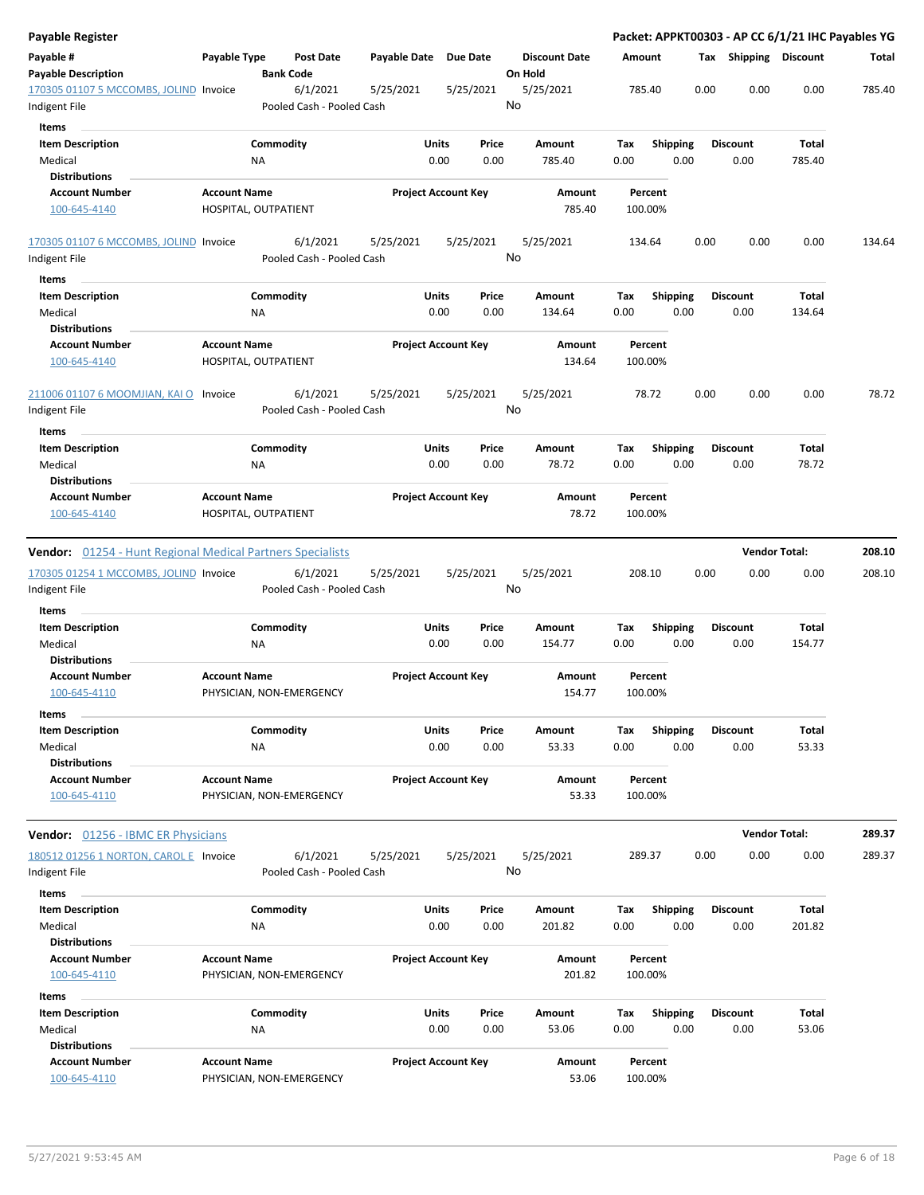| <b>Payable Register</b>                                    |                                                 |                                       |               |                            |                                 |             |                         |      |                         | Packet: APPKT00303 - AP CC 6/1/21 IHC Payables YG |        |
|------------------------------------------------------------|-------------------------------------------------|---------------------------------------|---------------|----------------------------|---------------------------------|-------------|-------------------------|------|-------------------------|---------------------------------------------------|--------|
| Payable #<br><b>Payable Description</b>                    | Payable Type                                    | <b>Post Date</b><br><b>Bank Code</b>  | Payable Date  | Due Date                   | <b>Discount Date</b><br>On Hold |             | Amount                  |      | Tax Shipping Discount   |                                                   | Total  |
| 170305 01107 5 MCCOMBS, JOLIND Invoice                     |                                                 | 6/1/2021                              | 5/25/2021     | 5/25/2021                  | 5/25/2021                       |             | 785.40                  | 0.00 | 0.00                    | 0.00                                              | 785.40 |
| Indigent File                                              |                                                 | Pooled Cash - Pooled Cash             |               |                            | No                              |             |                         |      |                         |                                                   |        |
| Items                                                      |                                                 |                                       |               |                            |                                 |             |                         |      |                         |                                                   |        |
| <b>Item Description</b><br>Medical                         | Commodity<br>ΝA                                 |                                       | Units<br>0.00 | Price<br>0.00              | Amount<br>785.40                | Tax<br>0.00 | <b>Shipping</b><br>0.00 |      | <b>Discount</b><br>0.00 | <b>Total</b><br>785.40                            |        |
| <b>Distributions</b>                                       |                                                 |                                       |               |                            |                                 |             |                         |      |                         |                                                   |        |
| <b>Account Number</b>                                      | <b>Account Name</b>                             |                                       |               | <b>Project Account Key</b> | Amount                          |             | Percent                 |      |                         |                                                   |        |
| 100-645-4140                                               | HOSPITAL, OUTPATIENT                            |                                       |               |                            | 785.40                          |             | 100.00%                 |      |                         |                                                   |        |
| 170305 01107 6 MCCOMBS, JOLIND Invoice                     |                                                 | 6/1/2021                              | 5/25/2021     | 5/25/2021                  | 5/25/2021<br>No                 |             | 134.64                  | 0.00 | 0.00                    | 0.00                                              | 134.64 |
| Indigent File                                              |                                                 | Pooled Cash - Pooled Cash             |               |                            |                                 |             |                         |      |                         |                                                   |        |
| Items                                                      |                                                 |                                       |               |                            |                                 |             |                         |      |                         |                                                   |        |
| <b>Item Description</b>                                    | Commodity                                       |                                       | Units         | Price                      | Amount                          | Tax         | <b>Shipping</b>         |      | <b>Discount</b>         | <b>Total</b>                                      |        |
| Medical                                                    | NA                                              |                                       | 0.00          | 0.00                       | 134.64                          | 0.00        | 0.00                    |      | 0.00                    | 134.64                                            |        |
| <b>Distributions</b>                                       |                                                 |                                       |               |                            |                                 |             |                         |      |                         |                                                   |        |
| <b>Account Number</b><br>100-645-4140                      | <b>Account Name</b><br>HOSPITAL, OUTPATIENT     |                                       |               | <b>Project Account Key</b> | Amount<br>134.64                |             | Percent<br>100.00%      |      |                         |                                                   |        |
| 211006 01107 6 MOOMJIAN, KAI O<br>Indigent File            | Invoice                                         | 6/1/2021<br>Pooled Cash - Pooled Cash | 5/25/2021     | 5/25/2021                  | 5/25/2021<br>No                 |             | 78.72                   | 0.00 | 0.00                    | 0.00                                              | 78.72  |
| Items                                                      |                                                 |                                       |               |                            |                                 |             |                         |      |                         |                                                   |        |
| <b>Item Description</b>                                    | Commodity                                       |                                       | Units         | Price                      | <b>Amount</b>                   | Tax         | <b>Shipping</b>         |      | <b>Discount</b>         | Total                                             |        |
| Medical                                                    | ΝA                                              |                                       |               | 0.00<br>0.00               | 78.72                           | 0.00        | 0.00                    |      | 0.00                    | 78.72                                             |        |
| <b>Distributions</b>                                       |                                                 |                                       |               |                            |                                 |             |                         |      |                         |                                                   |        |
| <b>Account Number</b>                                      | <b>Account Name</b>                             |                                       |               | <b>Project Account Key</b> | Amount                          |             | Percent                 |      |                         |                                                   |        |
| 100-645-4140                                               | HOSPITAL, OUTPATIENT                            |                                       |               |                            | 78.72                           |             | 100.00%                 |      |                         |                                                   |        |
| Vendor: 01254 - Hunt Regional Medical Partners Specialists |                                                 |                                       |               |                            |                                 |             |                         |      |                         | <b>Vendor Total:</b>                              | 208.10 |
| 170305 01254 1 MCCOMBS, JOLIND Invoice                     |                                                 | 6/1/2021                              | 5/25/2021     | 5/25/2021                  | 5/25/2021                       |             | 208.10                  | 0.00 | 0.00                    | 0.00                                              | 208.10 |
| Indigent File                                              |                                                 | Pooled Cash - Pooled Cash             |               |                            | No                              |             |                         |      |                         |                                                   |        |
| Items                                                      |                                                 |                                       |               |                            |                                 |             |                         |      |                         |                                                   |        |
| <b>Item Description</b>                                    | Commodity                                       |                                       | <b>Units</b>  | Price                      | Amount                          | Tax         | <b>Shipping</b>         |      | <b>Discount</b>         | <b>Total</b>                                      |        |
| Medical                                                    | NA                                              |                                       | 0.00          | 0.00                       | 154.77                          | 0.00        | 0.00                    |      | 0.00                    | 154.77                                            |        |
| <b>Distributions</b>                                       |                                                 |                                       |               |                            |                                 |             |                         |      |                         |                                                   |        |
| <b>Account Number</b><br>100-645-4110                      | <b>Account Name</b>                             |                                       |               | <b>Project Account Key</b> | Amount<br>154.77                |             | Percent<br>100.00%      |      |                         |                                                   |        |
|                                                            | PHYSICIAN, NON-EMERGENCY                        |                                       |               |                            |                                 |             |                         |      |                         |                                                   |        |
| Items                                                      |                                                 |                                       |               |                            |                                 |             |                         |      |                         |                                                   |        |
| <b>Item Description</b>                                    | Commodity                                       |                                       | Units         | Price                      | Amount                          | Tax         | <b>Shipping</b>         |      | <b>Discount</b>         | <b>Total</b>                                      |        |
| Medical                                                    | NA                                              |                                       |               | 0.00<br>0.00               | 53.33                           | 0.00        | 0.00                    |      | 0.00                    | 53.33                                             |        |
| <b>Distributions</b>                                       |                                                 |                                       |               |                            |                                 |             |                         |      |                         |                                                   |        |
| <b>Account Number</b><br>100-645-4110                      | <b>Account Name</b><br>PHYSICIAN, NON-EMERGENCY |                                       |               | <b>Project Account Key</b> | Amount<br>53.33                 |             | Percent<br>100.00%      |      |                         |                                                   |        |
|                                                            |                                                 |                                       |               |                            |                                 |             |                         |      |                         |                                                   |        |
| <b>Vendor:</b> 01256 - IBMC ER Physicians                  |                                                 |                                       |               |                            |                                 |             |                         |      |                         | <b>Vendor Total:</b>                              | 289.37 |
| 180512 01256 1 NORTON, CAROL E Invoice                     |                                                 | 6/1/2021                              | 5/25/2021     | 5/25/2021                  | 5/25/2021                       |             | 289.37                  | 0.00 | 0.00                    | 0.00                                              | 289.37 |
| Indigent File                                              |                                                 | Pooled Cash - Pooled Cash             |               |                            | No                              |             |                         |      |                         |                                                   |        |
| Items                                                      |                                                 |                                       |               |                            |                                 |             |                         |      |                         |                                                   |        |
| <b>Item Description</b>                                    | Commodity                                       |                                       | Units         | Price                      | Amount                          | Tax         | <b>Shipping</b>         |      | <b>Discount</b>         | Total                                             |        |
| Medical                                                    | NA                                              |                                       |               | 0.00<br>0.00               | 201.82                          | 0.00        | 0.00                    |      | 0.00                    | 201.82                                            |        |
| <b>Distributions</b>                                       |                                                 |                                       |               |                            |                                 |             |                         |      |                         |                                                   |        |
| <b>Account Number</b>                                      | <b>Account Name</b>                             |                                       |               | <b>Project Account Key</b> | Amount                          |             | Percent                 |      |                         |                                                   |        |
| 100-645-4110                                               | PHYSICIAN, NON-EMERGENCY                        |                                       |               |                            | 201.82                          |             | 100.00%                 |      |                         |                                                   |        |
| Items                                                      |                                                 |                                       |               |                            |                                 |             |                         |      |                         |                                                   |        |
| <b>Item Description</b>                                    | Commodity                                       |                                       | Units         | Price                      | Amount                          | Tax         | <b>Shipping</b>         |      | <b>Discount</b>         | Total                                             |        |
| Medical                                                    | ΝA                                              |                                       | 0.00          | 0.00                       | 53.06                           | 0.00        | 0.00                    |      | 0.00                    | 53.06                                             |        |
| <b>Distributions</b>                                       |                                                 |                                       |               |                            |                                 |             |                         |      |                         |                                                   |        |
| <b>Account Number</b>                                      | <b>Account Name</b>                             |                                       |               | <b>Project Account Key</b> | Amount                          |             | Percent                 |      |                         |                                                   |        |
| 100-645-4110                                               | PHYSICIAN, NON-EMERGENCY                        |                                       |               |                            | 53.06                           |             | 100.00%                 |      |                         |                                                   |        |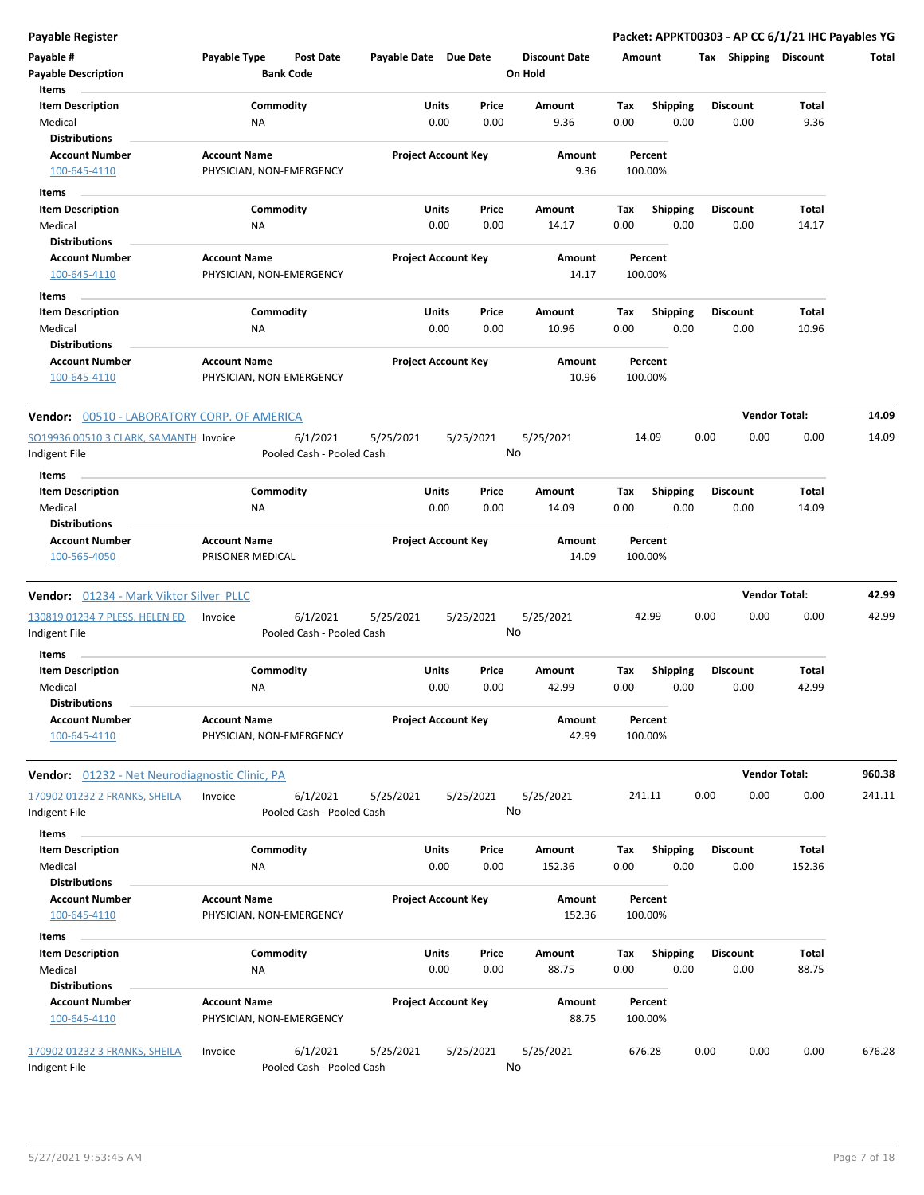| Payable #                                          | Payable Type        | <b>Post Date</b>          | Payable Date Due Date |                            | <b>Discount Date</b> | Amount |                 | <b>Shipping</b><br>Тах | <b>Discount</b>      | Total  |
|----------------------------------------------------|---------------------|---------------------------|-----------------------|----------------------------|----------------------|--------|-----------------|------------------------|----------------------|--------|
| <b>Payable Description</b><br>Items                |                     | <b>Bank Code</b>          |                       |                            | On Hold              |        |                 |                        |                      |        |
| <b>Item Description</b>                            |                     | Commodity                 |                       | Units<br>Price             | Amount               | Tax    | <b>Shipping</b> | <b>Discount</b>        | Total                |        |
| Medical                                            | ΝA                  |                           |                       | 0.00<br>0.00               | 9.36                 | 0.00   | 0.00            | 0.00                   | 9.36                 |        |
| <b>Distributions</b>                               |                     |                           |                       |                            |                      |        |                 |                        |                      |        |
| <b>Account Number</b>                              | <b>Account Name</b> |                           |                       | <b>Project Account Key</b> | Amount               |        | Percent         |                        |                      |        |
| 100-645-4110                                       |                     | PHYSICIAN, NON-EMERGENCY  |                       |                            | 9.36                 |        | 100.00%         |                        |                      |        |
| Items                                              |                     |                           |                       |                            |                      |        |                 |                        |                      |        |
| <b>Item Description</b>                            |                     | Commodity                 |                       | Units<br>Price             | Amount               | Тах    | Shipping        | <b>Discount</b>        | Total                |        |
| Medical                                            | ΝA                  |                           |                       | 0.00<br>0.00               | 14.17                | 0.00   | 0.00            | 0.00                   | 14.17                |        |
| <b>Distributions</b>                               |                     |                           |                       |                            |                      |        |                 |                        |                      |        |
| <b>Account Number</b>                              | <b>Account Name</b> |                           |                       | <b>Project Account Key</b> | Amount               |        | Percent         |                        |                      |        |
| 100-645-4110                                       |                     | PHYSICIAN, NON-EMERGENCY  |                       |                            | 14.17                |        | 100.00%         |                        |                      |        |
| Items                                              |                     |                           |                       |                            |                      |        |                 |                        |                      |        |
| <b>Item Description</b>                            |                     | Commodity                 |                       | Units<br>Price             | Amount               | Tax    | Shipping        | <b>Discount</b>        | Total                |        |
| Medical                                            | ΝA                  |                           |                       | 0.00<br>0.00               | 10.96                | 0.00   | 0.00            | 0.00                   | 10.96                |        |
| <b>Distributions</b>                               |                     |                           |                       |                            |                      |        |                 |                        |                      |        |
| <b>Account Number</b>                              | <b>Account Name</b> |                           |                       | <b>Project Account Key</b> | Amount               |        | Percent         |                        |                      |        |
| 100-645-4110                                       |                     | PHYSICIAN, NON-EMERGENCY  |                       |                            | 10.96                |        | 100.00%         |                        |                      |        |
| <b>Vendor:</b> 00510 - LABORATORY CORP. OF AMERICA |                     |                           |                       |                            |                      |        |                 |                        | <b>Vendor Total:</b> | 14.09  |
| SO19936 00510 3 CLARK, SAMANTH Invoice             |                     | 6/1/2021                  | 5/25/2021             | 5/25/2021                  | 5/25/2021            |        | 14.09           | 0.00<br>0.00           | 0.00                 | 14.09  |
| Indigent File                                      |                     | Pooled Cash - Pooled Cash |                       |                            | No                   |        |                 |                        |                      |        |
| Items                                              |                     |                           |                       |                            |                      |        |                 |                        |                      |        |
| <b>Item Description</b>                            |                     | Commodity                 |                       | Units<br>Price             | Amount               | Tax    | <b>Shipping</b> | <b>Discount</b>        | Total                |        |
| Medical                                            | NA                  |                           |                       | 0.00<br>0.00               | 14.09                | 0.00   | 0.00            | 0.00                   | 14.09                |        |
| <b>Distributions</b>                               |                     |                           |                       |                            |                      |        |                 |                        |                      |        |
| <b>Account Number</b>                              | <b>Account Name</b> |                           |                       | <b>Project Account Key</b> | Amount               |        | Percent         |                        |                      |        |
| 100-565-4050                                       | PRISONER MEDICAL    |                           |                       |                            | 14.09                |        | 100.00%         |                        |                      |        |
| Vendor: 01234 - Mark Viktor Silver PLLC            |                     |                           |                       |                            |                      |        |                 |                        | <b>Vendor Total:</b> | 42.99  |
| 130819 01234 7 PLESS, HELEN ED                     | Invoice             | 6/1/2021                  | 5/25/2021             | 5/25/2021                  | 5/25/2021            |        | 42.99           | 0.00<br>0.00           | 0.00                 | 42.99  |
| Indigent File                                      |                     | Pooled Cash - Pooled Cash |                       |                            | No                   |        |                 |                        |                      |        |
| Items                                              |                     |                           |                       |                            |                      |        |                 |                        |                      |        |
| <b>Item Description</b>                            |                     | Commodity                 |                       | Units<br>Price             | Amount               | Tax    | <b>Shipping</b> | <b>Discount</b>        | Total                |        |
| Medical                                            | ΝA                  |                           |                       | 0.00<br>0.00               | 42.99                | 0.00   | 0.00            | 0.00                   | 42.99                |        |
| <b>Distributions</b>                               |                     |                           |                       |                            |                      |        |                 |                        |                      |        |
| <b>Account Number</b>                              | <b>Account Name</b> |                           |                       | <b>Project Account Key</b> | Amount               |        | Percent         |                        |                      |        |
| 100-645-4110                                       |                     | PHYSICIAN, NON-EMERGENCY  |                       |                            | 42.99                |        | 100.00%         |                        |                      |        |
| Vendor: 01232 - Net Neurodiagnostic Clinic, PA     |                     |                           |                       |                            |                      |        |                 |                        | <b>Vendor Total:</b> | 960.38 |
| 170902 01232 2 FRANKS, SHEILA                      | Invoice             | 6/1/2021                  | 5/25/2021             | 5/25/2021                  | 5/25/2021            |        | 241.11          | 0.00<br>0.00           | 0.00                 | 241.11 |
| Indigent File                                      |                     | Pooled Cash - Pooled Cash |                       |                            | No                   |        |                 |                        |                      |        |
| Items                                              |                     |                           |                       |                            |                      |        |                 |                        |                      |        |
| <b>Item Description</b>                            |                     | Commodity                 |                       | Units<br>Price             | Amount               | Tax    | <b>Shipping</b> | <b>Discount</b>        | Total                |        |
| Medical                                            | NA                  |                           |                       | 0.00<br>0.00               | 152.36               | 0.00   | 0.00            | 0.00                   | 152.36               |        |
| <b>Distributions</b>                               |                     |                           |                       |                            |                      |        |                 |                        |                      |        |
| <b>Account Number</b>                              | <b>Account Name</b> |                           |                       | <b>Project Account Key</b> | Amount               |        | Percent         |                        |                      |        |
| 100-645-4110                                       |                     | PHYSICIAN, NON-EMERGENCY  |                       |                            | 152.36               |        | 100.00%         |                        |                      |        |
|                                                    |                     |                           |                       |                            |                      |        |                 |                        |                      |        |
| Items<br><b>Item Description</b>                   |                     | Commodity                 |                       | Units<br>Price             | Amount               | Tax    | <b>Shipping</b> | <b>Discount</b>        | Total                |        |
| Medical                                            | NA                  |                           |                       | 0.00<br>0.00               | 88.75                | 0.00   | 0.00            | 0.00                   | 88.75                |        |
| <b>Distributions</b>                               |                     |                           |                       |                            |                      |        |                 |                        |                      |        |
| <b>Account Number</b>                              | <b>Account Name</b> |                           |                       | <b>Project Account Key</b> | Amount               |        | Percent         |                        |                      |        |
| 100-645-4110                                       |                     | PHYSICIAN, NON-EMERGENCY  |                       |                            | 88.75                |        | 100.00%         |                        |                      |        |
|                                                    |                     |                           |                       |                            |                      |        |                 |                        |                      |        |
| 170902 01232 3 FRANKS, SHEILA                      | Invoice             | 6/1/2021                  | 5/25/2021             | 5/25/2021                  | 5/25/2021            |        | 676.28          | 0.00<br>0.00           | 0.00                 | 676.28 |
| Indigent File                                      |                     | Pooled Cash - Pooled Cash |                       |                            | No                   |        |                 |                        |                      |        |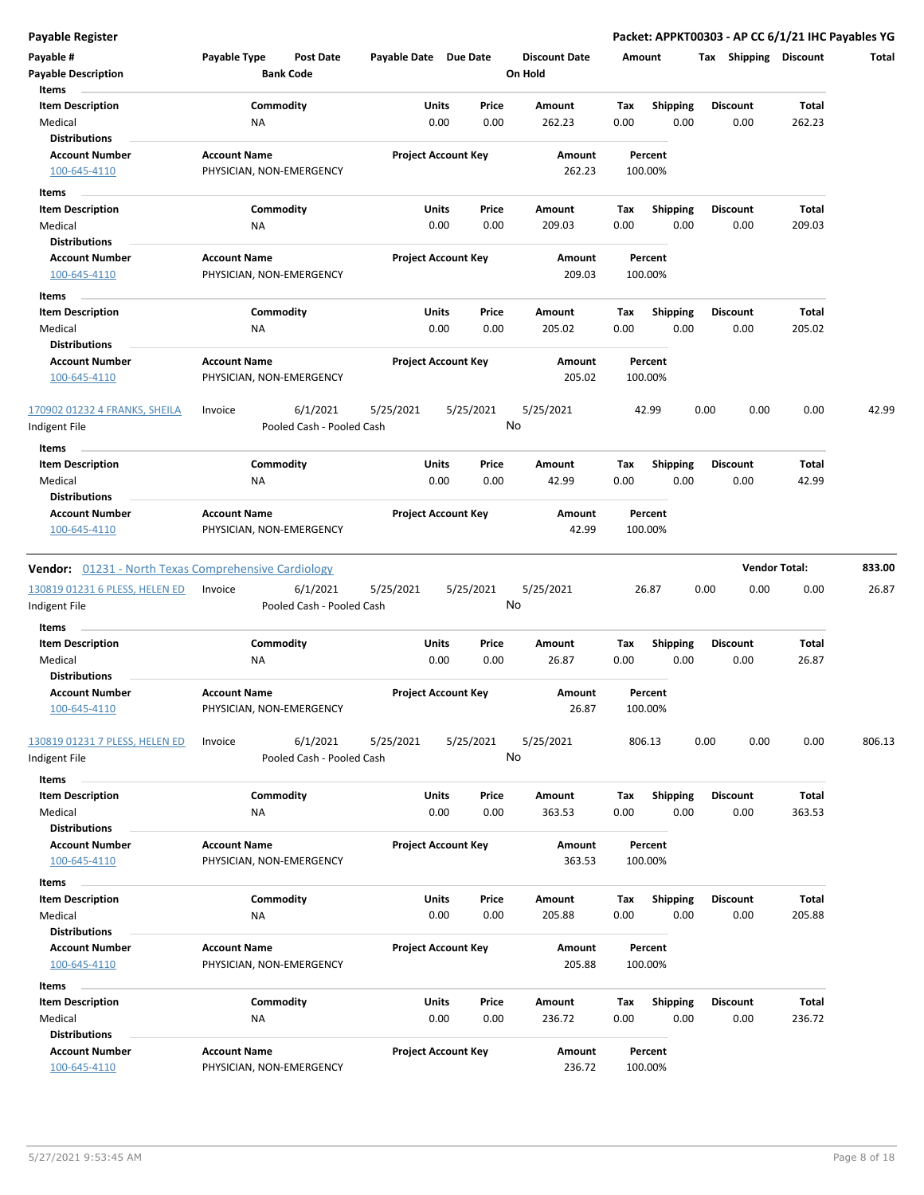|  | Payable Register |  |
|--|------------------|--|

| Payable Register                                            |                                                      |                            |               |                                 |                    |                  | Packet: APPKT00303 - AP CC 6/1/21 IHC Payables YG |                        |        |
|-------------------------------------------------------------|------------------------------------------------------|----------------------------|---------------|---------------------------------|--------------------|------------------|---------------------------------------------------|------------------------|--------|
| Payable #<br><b>Payable Description</b>                     | Payable Type<br><b>Post Date</b><br><b>Bank Code</b> | Payable Date Due Date      |               | <b>Discount Date</b><br>On Hold | Amount             |                  | Tax Shipping Discount                             |                        | Total  |
| Items<br><b>Item Description</b>                            | Commodity                                            | Units                      | Price         | Amount                          | Tax                | <b>Shipping</b>  | <b>Discount</b>                                   | Total                  |        |
| Medical<br><b>Distributions</b>                             | ΝA                                                   | 0.00                       | 0.00          | 262.23                          | 0.00               | 0.00             | 0.00                                              | 262.23                 |        |
| <b>Account Number</b>                                       | <b>Account Name</b>                                  | <b>Project Account Key</b> |               | Amount                          | Percent            |                  |                                                   |                        |        |
| 100-645-4110                                                | PHYSICIAN, NON-EMERGENCY                             |                            |               | 262.23                          | 100.00%            |                  |                                                   |                        |        |
| Items                                                       |                                                      |                            |               |                                 |                    |                  |                                                   |                        |        |
| <b>Item Description</b>                                     | Commodity                                            | Units                      | Price         | Amount                          | Tax                | Shipping         | <b>Discount</b>                                   | Total                  |        |
| Medical<br><b>Distributions</b>                             | NA                                                   | 0.00                       | 0.00          | 209.03                          | 0.00               | 0.00             | 0.00                                              | 209.03                 |        |
| <b>Account Number</b>                                       | <b>Account Name</b>                                  | <b>Project Account Key</b> |               | Amount                          | Percent            |                  |                                                   |                        |        |
| 100-645-4110                                                | PHYSICIAN, NON-EMERGENCY                             |                            |               | 209.03                          | 100.00%            |                  |                                                   |                        |        |
| Items                                                       |                                                      |                            |               |                                 |                    |                  |                                                   |                        |        |
| <b>Item Description</b>                                     | Commodity                                            | Units                      | Price         | Amount                          | Tax                | Shipping         | <b>Discount</b>                                   | Total                  |        |
| Medical<br><b>Distributions</b>                             | ΝA                                                   | 0.00                       | 0.00          | 205.02                          | 0.00               | 0.00             | 0.00                                              | 205.02                 |        |
| <b>Account Number</b>                                       | <b>Account Name</b>                                  | <b>Project Account Key</b> |               | Amount                          | Percent            |                  |                                                   |                        |        |
| 100-645-4110                                                | PHYSICIAN, NON-EMERGENCY                             |                            |               | 205.02                          | 100.00%            |                  |                                                   |                        |        |
| 170902 01232 4 FRANKS, SHEILA<br>Indigent File              | 6/1/2021<br>Invoice<br>Pooled Cash - Pooled Cash     | 5/25/2021                  | 5/25/2021     | 5/25/2021<br>No                 | 42.99              |                  | 0.00<br>0.00                                      | 0.00                   | 42.99  |
| Items                                                       |                                                      |                            |               |                                 |                    |                  |                                                   |                        |        |
| <b>Item Description</b>                                     | Commodity                                            | Units                      | Price         | Amount                          | Tax                | Shipping         | <b>Discount</b>                                   | Total                  |        |
| Medical<br><b>Distributions</b>                             | ΝA                                                   | 0.00                       | 0.00          | 42.99                           | 0.00               | 0.00             | 0.00                                              | 42.99                  |        |
| <b>Account Number</b>                                       | <b>Account Name</b>                                  | <b>Project Account Key</b> |               | Amount                          | Percent            |                  |                                                   |                        |        |
| 100-645-4110                                                | PHYSICIAN, NON-EMERGENCY                             |                            |               | 42.99                           | 100.00%            |                  |                                                   |                        |        |
| <b>Vendor:</b> 01231 - North Texas Comprehensive Cardiology |                                                      |                            |               |                                 |                    |                  |                                                   | <b>Vendor Total:</b>   | 833.00 |
| 130819 01231 6 PLESS, HELEN ED                              | 6/1/2021<br>Invoice<br>Pooled Cash - Pooled Cash     | 5/25/2021                  | 5/25/2021     | 5/25/2021<br>No                 | 26.87              |                  | 0.00<br>0.00                                      | 0.00                   | 26.87  |
| Indigent File                                               |                                                      |                            |               |                                 |                    |                  |                                                   |                        |        |
| Items<br><b>Item Description</b>                            | Commodity                                            | Units                      | Price         | Amount                          | Tax                | <b>Shipping</b>  | <b>Discount</b>                                   | Total                  |        |
| Medical                                                     | <b>NA</b>                                            | 0.00                       | 0.00          | 26.87                           | 0.00               | 0.00             | 0.00                                              | 26.87                  |        |
| <b>Distributions</b>                                        |                                                      |                            |               |                                 |                    |                  |                                                   |                        |        |
| <b>Account Number</b><br>100-645-4110                       | <b>Account Name</b><br>PHYSICIAN, NON-EMERGENCY      | <b>Project Account Key</b> |               | Amount<br>26.87                 | Percent<br>100.00% |                  |                                                   |                        |        |
| 130819 01231 7 PLESS, HELEN ED<br>Indigent File             | 6/1/2021<br>Invoice<br>Pooled Cash - Pooled Cash     | 5/25/2021                  | 5/25/2021     | 5/25/2021<br>No                 | 806.13             |                  | 0.00<br>0.00                                      | 0.00                   | 806.13 |
| Items                                                       |                                                      |                            |               |                                 |                    |                  |                                                   |                        |        |
| <b>Item Description</b>                                     | Commodity                                            | <b>Units</b>               | Price         | Amount                          | Tax                | Shipping         | <b>Discount</b>                                   | Total                  |        |
| Medical                                                     | <b>NA</b>                                            | 0.00                       | 0.00          | 363.53                          | 0.00               | 0.00             | 0.00                                              | 363.53                 |        |
| <b>Distributions</b>                                        |                                                      |                            |               |                                 |                    |                  |                                                   |                        |        |
| <b>Account Number</b><br>100-645-4110                       | <b>Account Name</b><br>PHYSICIAN, NON-EMERGENCY      | <b>Project Account Key</b> |               | Amount<br>363.53                | Percent<br>100.00% |                  |                                                   |                        |        |
| Items                                                       |                                                      |                            |               |                                 |                    |                  |                                                   |                        |        |
| <b>Item Description</b><br>Medical                          | Commodity<br>ΝA                                      | Units<br>0.00              | Price<br>0.00 | Amount<br>205.88                | Tax<br>0.00        | Shipping<br>0.00 | <b>Discount</b><br>0.00                           | <b>Total</b><br>205.88 |        |
| <b>Distributions</b>                                        |                                                      |                            |               |                                 |                    |                  |                                                   |                        |        |
| <b>Account Number</b>                                       | <b>Account Name</b>                                  | <b>Project Account Key</b> |               | Amount                          | Percent            |                  |                                                   |                        |        |
| 100-645-4110                                                | PHYSICIAN, NON-EMERGENCY                             |                            |               | 205.88                          | 100.00%            |                  |                                                   |                        |        |
| Items                                                       |                                                      |                            |               |                                 |                    |                  |                                                   |                        |        |
| <b>Item Description</b>                                     | Commodity                                            | <b>Units</b>               | Price         | Amount                          | Tax                | <b>Shipping</b>  | <b>Discount</b>                                   | Total                  |        |
| Medical<br><b>Distributions</b>                             | NA                                                   | 0.00                       | 0.00          | 236.72                          | 0.00               | 0.00             | 0.00                                              | 236.72                 |        |
| <b>Account Number</b>                                       | <b>Account Name</b>                                  | <b>Project Account Key</b> |               | Amount                          | Percent            |                  |                                                   |                        |        |
| 100-645-4110                                                | PHYSICIAN, NON-EMERGENCY                             |                            |               | 236.72                          | 100.00%            |                  |                                                   |                        |        |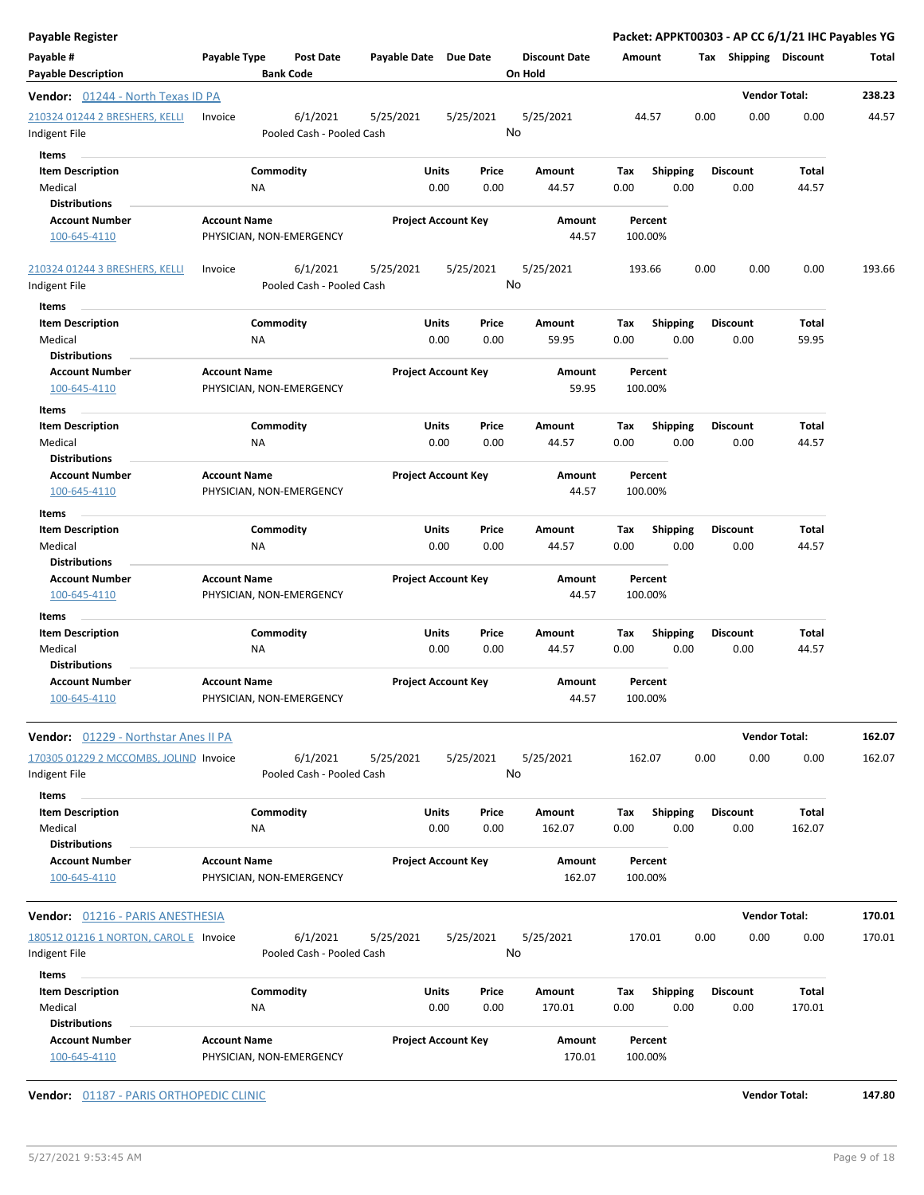| <b>Payable Register</b>                                          |                                                      |                            |                            |                                 |        |                    |      |                       | Packet: APPKT00303 - AP CC 6/1/21 IHC Payables YG |        |
|------------------------------------------------------------------|------------------------------------------------------|----------------------------|----------------------------|---------------------------------|--------|--------------------|------|-----------------------|---------------------------------------------------|--------|
| Payable #<br><b>Payable Description</b>                          | Payable Type<br><b>Post Date</b><br><b>Bank Code</b> | Payable Date Due Date      |                            | <b>Discount Date</b><br>On Hold | Amount |                    |      | Tax Shipping Discount |                                                   | Total  |
| <b>Vendor:</b> 01244 - North Texas ID PA                         |                                                      |                            |                            |                                 |        |                    |      |                       | <b>Vendor Total:</b>                              | 238.23 |
| 210324 01244 2 BRESHERS, KELLI<br>Indigent File                  | 6/1/2021<br>Invoice<br>Pooled Cash - Pooled Cash     | 5/25/2021                  | 5/25/2021                  | 5/25/2021<br>No                 |        | 44.57              | 0.00 | 0.00                  | 0.00                                              | 44.57  |
| Items                                                            |                                                      |                            |                            |                                 |        |                    |      |                       |                                                   |        |
| <b>Item Description</b>                                          | Commodity                                            | Units                      | Price                      | Amount                          | Tax    | <b>Shipping</b>    |      | <b>Discount</b>       | <b>Total</b>                                      |        |
| Medical                                                          | ΝA                                                   | 0.00                       | 0.00                       | 44.57                           | 0.00   | 0.00               |      | 0.00                  | 44.57                                             |        |
| <b>Distributions</b>                                             |                                                      |                            |                            |                                 |        |                    |      |                       |                                                   |        |
| <b>Account Number</b>                                            | <b>Account Name</b>                                  |                            | <b>Project Account Key</b> | Amount                          |        | Percent            |      |                       |                                                   |        |
| 100-645-4110                                                     | PHYSICIAN, NON-EMERGENCY                             |                            |                            | 44.57                           |        | 100.00%            |      |                       |                                                   |        |
| 210324 01244 3 BRESHERS, KELLI<br>Indigent File                  | 6/1/2021<br>Invoice<br>Pooled Cash - Pooled Cash     | 5/25/2021                  | 5/25/2021                  | 5/25/2021<br>No                 |        | 193.66             | 0.00 | 0.00                  | 0.00                                              | 193.66 |
| Items                                                            |                                                      |                            |                            |                                 |        |                    |      |                       |                                                   |        |
| <b>Item Description</b>                                          | Commodity                                            | <b>Units</b>               | Price                      | Amount                          | Tax    | <b>Shipping</b>    |      | <b>Discount</b>       | <b>Total</b>                                      |        |
| Medical                                                          | ΝA                                                   | 0.00                       | 0.00                       | 59.95                           | 0.00   | 0.00               |      | 0.00                  | 59.95                                             |        |
| <b>Distributions</b>                                             |                                                      |                            |                            |                                 |        |                    |      |                       |                                                   |        |
| <b>Account Number</b>                                            | <b>Account Name</b>                                  | <b>Project Account Key</b> |                            | Amount                          |        | Percent            |      |                       |                                                   |        |
| 100-645-4110                                                     | PHYSICIAN, NON-EMERGENCY                             |                            |                            | 59.95                           |        | 100.00%            |      |                       |                                                   |        |
|                                                                  |                                                      |                            |                            |                                 |        |                    |      |                       |                                                   |        |
| Items                                                            |                                                      |                            |                            |                                 |        |                    |      |                       |                                                   |        |
| <b>Item Description</b>                                          | Commodity                                            | Units                      | Price                      | Amount                          | Tax    | <b>Shipping</b>    |      | <b>Discount</b>       | Total                                             |        |
| Medical                                                          | NA                                                   | 0.00                       | 0.00                       | 44.57                           | 0.00   | 0.00               |      | 0.00                  | 44.57                                             |        |
| <b>Distributions</b><br><b>Account Number</b>                    | <b>Account Name</b>                                  |                            | <b>Project Account Key</b> | Amount                          |        | Percent            |      |                       |                                                   |        |
| 100-645-4110                                                     | PHYSICIAN, NON-EMERGENCY                             |                            |                            | 44.57                           |        | 100.00%            |      |                       |                                                   |        |
|                                                                  |                                                      |                            |                            |                                 |        |                    |      |                       |                                                   |        |
| Items                                                            |                                                      |                            |                            |                                 |        |                    |      |                       |                                                   |        |
| <b>Item Description</b>                                          | Commodity                                            | Units                      | Price                      | Amount                          | Tax    | <b>Shipping</b>    |      | <b>Discount</b>       | Total                                             |        |
| Medical                                                          | NA                                                   | 0.00                       | 0.00                       | 44.57                           | 0.00   | 0.00               |      | 0.00                  | 44.57                                             |        |
| <b>Distributions</b>                                             |                                                      |                            |                            |                                 |        |                    |      |                       |                                                   |        |
| <b>Account Number</b><br>100-645-4110                            | <b>Account Name</b><br>PHYSICIAN, NON-EMERGENCY      | <b>Project Account Key</b> |                            | Amount<br>44.57                 |        | Percent<br>100.00% |      |                       |                                                   |        |
| Items                                                            |                                                      |                            |                            |                                 |        |                    |      |                       |                                                   |        |
| <b>Item Description</b>                                          | Commodity                                            | <b>Units</b>               | Price                      | Amount                          | Tax    | <b>Shipping</b>    |      | <b>Discount</b>       | Total                                             |        |
| Medical                                                          | ΝA                                                   | 0.00                       | 0.00                       | 44.57                           | 0.00   | 0.00               |      | 0.00                  | 44.57                                             |        |
| <b>Distributions</b>                                             |                                                      |                            |                            |                                 |        |                    |      |                       |                                                   |        |
| <b>Account Number</b><br>100-645-4110                            | <b>Account Name</b><br>PHYSICIAN, NON-EMERGENCY      | <b>Project Account Key</b> |                            | Amount<br>44.57                 |        | Percent<br>100.00% |      |                       |                                                   |        |
| Vendor: 01229 - Northstar Anes II PA                             |                                                      |                            |                            |                                 |        |                    |      |                       | <b>Vendor Total:</b>                              | 162.07 |
|                                                                  | 6/1/2021                                             |                            |                            |                                 |        |                    |      |                       |                                                   |        |
| 170305 01229 2 MCCOMBS, JOLIND Invoice<br>Indigent File<br>Items | Pooled Cash - Pooled Cash                            | 5/25/2021                  | 5/25/2021                  | 5/25/2021<br>No                 |        | 162.07             | 0.00 | 0.00                  | 0.00                                              | 162.07 |
| <b>Item Description</b>                                          | Commodity                                            | Units                      | Price                      | Amount                          | Tax    | <b>Shipping</b>    |      | <b>Discount</b>       | <b>Total</b>                                      |        |
| Medical                                                          | NA                                                   | 0.00                       | 0.00                       | 162.07                          | 0.00   | 0.00               |      | 0.00                  | 162.07                                            |        |
| <b>Distributions</b>                                             |                                                      |                            |                            |                                 |        |                    |      |                       |                                                   |        |
| <b>Account Number</b>                                            | <b>Account Name</b>                                  | <b>Project Account Key</b> |                            | Amount                          |        | Percent            |      |                       |                                                   |        |
| 100-645-4110                                                     | PHYSICIAN, NON-EMERGENCY                             |                            |                            | 162.07                          |        | 100.00%            |      |                       |                                                   |        |
|                                                                  |                                                      |                            |                            |                                 |        |                    |      |                       |                                                   |        |
| <b>Vendor:</b> 01216 - PARIS ANESTHESIA                          |                                                      |                            |                            |                                 |        |                    |      |                       | <b>Vendor Total:</b>                              | 170.01 |
| 180512 01216 1 NORTON, CAROL E Invoice<br>Indigent File          | 6/1/2021<br>Pooled Cash - Pooled Cash                | 5/25/2021                  | 5/25/2021                  | 5/25/2021<br>No                 |        | 170.01             | 0.00 | 0.00                  | 0.00                                              | 170.01 |
| Items                                                            |                                                      |                            |                            |                                 |        |                    |      |                       |                                                   |        |
| <b>Item Description</b>                                          | Commodity                                            | Units                      | Price                      | Amount                          | Tax    | <b>Shipping</b>    |      | <b>Discount</b>       | <b>Total</b>                                      |        |
| Medical                                                          | NA                                                   | 0.00                       | 0.00                       | 170.01                          | 0.00   | 0.00               |      | 0.00                  | 170.01                                            |        |
| <b>Distributions</b>                                             |                                                      |                            |                            |                                 |        |                    |      |                       |                                                   |        |
| <b>Account Number</b><br>100-645-4110                            | <b>Account Name</b><br>PHYSICIAN, NON-EMERGENCY      | <b>Project Account Key</b> |                            | Amount<br>170.01                |        | Percent<br>100.00% |      |                       |                                                   |        |
|                                                                  |                                                      |                            |                            |                                 |        |                    |      |                       |                                                   |        |

**Vendor:** 01187 - PARIS ORTHOPEDIC CLINIC **Vendor Total: 147.80**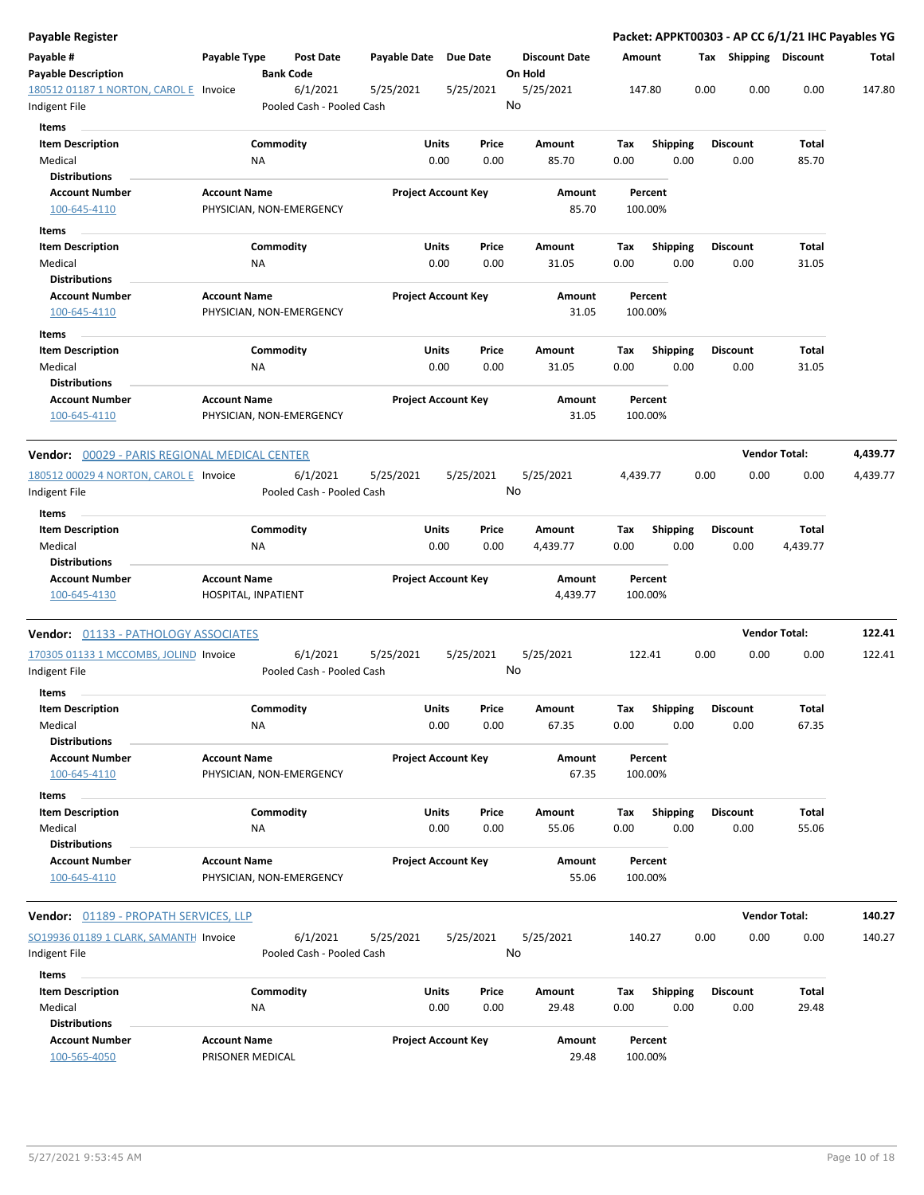| <b>Payable Register</b>                        |                                                 |                                                    |                            |               |                                 |             |                         |      |                              | Packet: APPKT00303 - AP CC 6/1/21 IHC Payables YG |          |
|------------------------------------------------|-------------------------------------------------|----------------------------------------------------|----------------------------|---------------|---------------------------------|-------------|-------------------------|------|------------------------------|---------------------------------------------------|----------|
| Payable #<br><b>Payable Description</b>        | Payable Type<br><b>Bank Code</b>                | <b>Post Date</b><br>Payable Date                   | <b>Due Date</b>            |               | <b>Discount Date</b><br>On Hold | Amount      |                         |      | <b>Tax Shipping Discount</b> |                                                   | Total    |
| 180512 01187 1 NORTON, CAROLE<br>Indigent File | Invoice                                         | 6/1/2021<br>5/25/2021<br>Pooled Cash - Pooled Cash | 5/25/2021                  |               | 5/25/2021<br>No                 | 147.80      |                         | 0.00 | 0.00                         | 0.00                                              | 147.80   |
| Items                                          |                                                 |                                                    |                            |               |                                 |             |                         |      |                              |                                                   |          |
| <b>Item Description</b><br>Medical             | Commodity<br>NA                                 |                                                    | Units<br>0.00              | Price<br>0.00 | Amount<br>85.70                 | Tax<br>0.00 | <b>Shipping</b><br>0.00 |      | <b>Discount</b><br>0.00      | Total<br>85.70                                    |          |
| <b>Distributions</b>                           |                                                 |                                                    |                            |               |                                 |             |                         |      |                              |                                                   |          |
| <b>Account Number</b>                          | <b>Account Name</b>                             |                                                    | <b>Project Account Key</b> |               | Amount                          |             | Percent                 |      |                              |                                                   |          |
| 100-645-4110                                   | PHYSICIAN, NON-EMERGENCY                        |                                                    |                            |               | 85.70                           | 100.00%     |                         |      |                              |                                                   |          |
| Items                                          |                                                 |                                                    |                            |               |                                 |             |                         |      |                              |                                                   |          |
| <b>Item Description</b>                        | Commodity                                       |                                                    | Units                      | Price         | Amount                          | Tax         | <b>Shipping</b>         |      | <b>Discount</b>              | Total                                             |          |
| Medical                                        | NA                                              |                                                    | 0.00                       | 0.00          | 31.05                           | 0.00        | 0.00                    |      | 0.00                         | 31.05                                             |          |
| <b>Distributions</b>                           |                                                 |                                                    |                            |               |                                 |             |                         |      |                              |                                                   |          |
| <b>Account Number</b><br>100-645-4110          | <b>Account Name</b><br>PHYSICIAN, NON-EMERGENCY |                                                    | <b>Project Account Key</b> |               | Amount<br>31.05                 | 100.00%     | Percent                 |      |                              |                                                   |          |
| Items                                          |                                                 |                                                    |                            |               |                                 |             |                         |      |                              |                                                   |          |
| <b>Item Description</b>                        | Commodity                                       |                                                    | Units                      | Price         | Amount                          | Tax         | <b>Shipping</b>         |      | <b>Discount</b>              | Total                                             |          |
| Medical<br><b>Distributions</b>                | NA                                              |                                                    | 0.00                       | 0.00          | 31.05                           | 0.00        | 0.00                    |      | 0.00                         | 31.05                                             |          |
| <b>Account Number</b><br>100-645-4110          | <b>Account Name</b><br>PHYSICIAN, NON-EMERGENCY |                                                    | <b>Project Account Key</b> |               | Amount<br>31.05                 | 100.00%     | Percent                 |      |                              |                                                   |          |
| Vendor: 00029 - PARIS REGIONAL MEDICAL CENTER  |                                                 |                                                    |                            |               |                                 |             |                         |      | <b>Vendor Total:</b>         |                                                   | 4,439.77 |
| 180512 00029 4 NORTON, CAROL E Invoice         |                                                 | 6/1/2021<br>5/25/2021                              | 5/25/2021                  |               | 5/25/2021                       | 4,439.77    |                         | 0.00 | 0.00                         | 0.00                                              | 4,439.77 |
| Indigent File<br>Items                         |                                                 | Pooled Cash - Pooled Cash                          |                            |               | No                              |             |                         |      |                              |                                                   |          |
| <b>Item Description</b>                        | Commodity                                       |                                                    | Units                      | Price         | Amount                          | Tax         | <b>Shipping</b>         |      | Discount                     | Total                                             |          |
| Medical<br><b>Distributions</b>                | NA                                              |                                                    | 0.00                       | 0.00          | 4,439.77                        | 0.00        | 0.00                    |      | 0.00                         | 4,439.77                                          |          |
| <b>Account Number</b><br>100-645-4130          | <b>Account Name</b><br>HOSPITAL, INPATIENT      |                                                    | <b>Project Account Key</b> |               | Amount<br>4,439.77              | 100.00%     | Percent                 |      |                              |                                                   |          |
| Vendor: 01133 - PATHOLOGY ASSOCIATES           |                                                 |                                                    |                            |               |                                 |             |                         |      | <b>Vendor Total:</b>         |                                                   | 122.41   |
| 170305 01133 1 MCCOMBS, JOLIND Invoice         |                                                 | 6/1/2021<br>5/25/2021                              | 5/25/2021                  |               | 5/25/2021                       | 122.41      |                         | 0.00 | 0.00                         | 0.00                                              | 122.41   |
| Indigent File<br>Items                         |                                                 | Pooled Cash - Pooled Cash                          |                            |               | No                              |             |                         |      |                              |                                                   |          |
| <b>Item Description</b>                        | Commodity                                       |                                                    | Units                      | Price         | Amount                          |             | Shipping                |      | Discount                     |                                                   |          |
| Medical<br><b>Distributions</b>                | NA                                              |                                                    | 0.00                       | 0.00          | 67.35                           | Тах<br>0.00 | 0.00                    |      | 0.00                         | Total<br>67.35                                    |          |
| <b>Account Number</b>                          | <b>Account Name</b>                             |                                                    | <b>Project Account Key</b> |               | Amount                          |             | Percent                 |      |                              |                                                   |          |
| 100-645-4110                                   | PHYSICIAN, NON-EMERGENCY                        |                                                    |                            |               | 67.35                           | 100.00%     |                         |      |                              |                                                   |          |
| Items                                          |                                                 |                                                    |                            |               |                                 |             |                         |      |                              |                                                   |          |
| <b>Item Description</b>                        | Commodity                                       |                                                    | Units                      | Price         | Amount                          | Tax         | <b>Shipping</b>         |      | <b>Discount</b>              | Total                                             |          |
| Medical                                        | NA                                              |                                                    | 0.00                       | 0.00          | 55.06                           | 0.00        | 0.00                    |      | 0.00                         | 55.06                                             |          |
| <b>Distributions</b>                           |                                                 |                                                    |                            |               |                                 |             |                         |      |                              |                                                   |          |
| <b>Account Number</b>                          | <b>Account Name</b>                             |                                                    | <b>Project Account Key</b> |               | Amount                          |             | Percent                 |      |                              |                                                   |          |
| 100-645-4110                                   | PHYSICIAN, NON-EMERGENCY                        |                                                    |                            |               | 55.06                           | 100.00%     |                         |      |                              |                                                   |          |
| Vendor: 01189 - PROPATH SERVICES, LLP          |                                                 |                                                    |                            |               |                                 |             |                         |      | <b>Vendor Total:</b>         |                                                   | 140.27   |
| SO19936 01189 1 CLARK, SAMANTH Invoice         |                                                 | 6/1/2021<br>5/25/2021                              | 5/25/2021                  |               | 5/25/2021                       | 140.27      |                         | 0.00 | 0.00                         | 0.00                                              | 140.27   |
| Indigent File                                  |                                                 | Pooled Cash - Pooled Cash                          |                            |               | No                              |             |                         |      |                              |                                                   |          |
| Items                                          |                                                 |                                                    |                            |               |                                 |             |                         |      |                              |                                                   |          |
| <b>Item Description</b>                        | Commodity                                       |                                                    | Units                      | Price         | Amount                          | Tax         | Shipping                |      | <b>Discount</b>              | Total                                             |          |
| Medical                                        | NA                                              |                                                    | 0.00                       | 0.00          | 29.48                           | 0.00        | 0.00                    |      | 0.00                         | 29.48                                             |          |
| <b>Distributions</b>                           |                                                 |                                                    |                            |               |                                 |             |                         |      |                              |                                                   |          |
| <b>Account Number</b><br>100-565-4050          | <b>Account Name</b><br>PRISONER MEDICAL         |                                                    | <b>Project Account Key</b> |               | Amount<br>29.48                 | 100.00%     | Percent                 |      |                              |                                                   |          |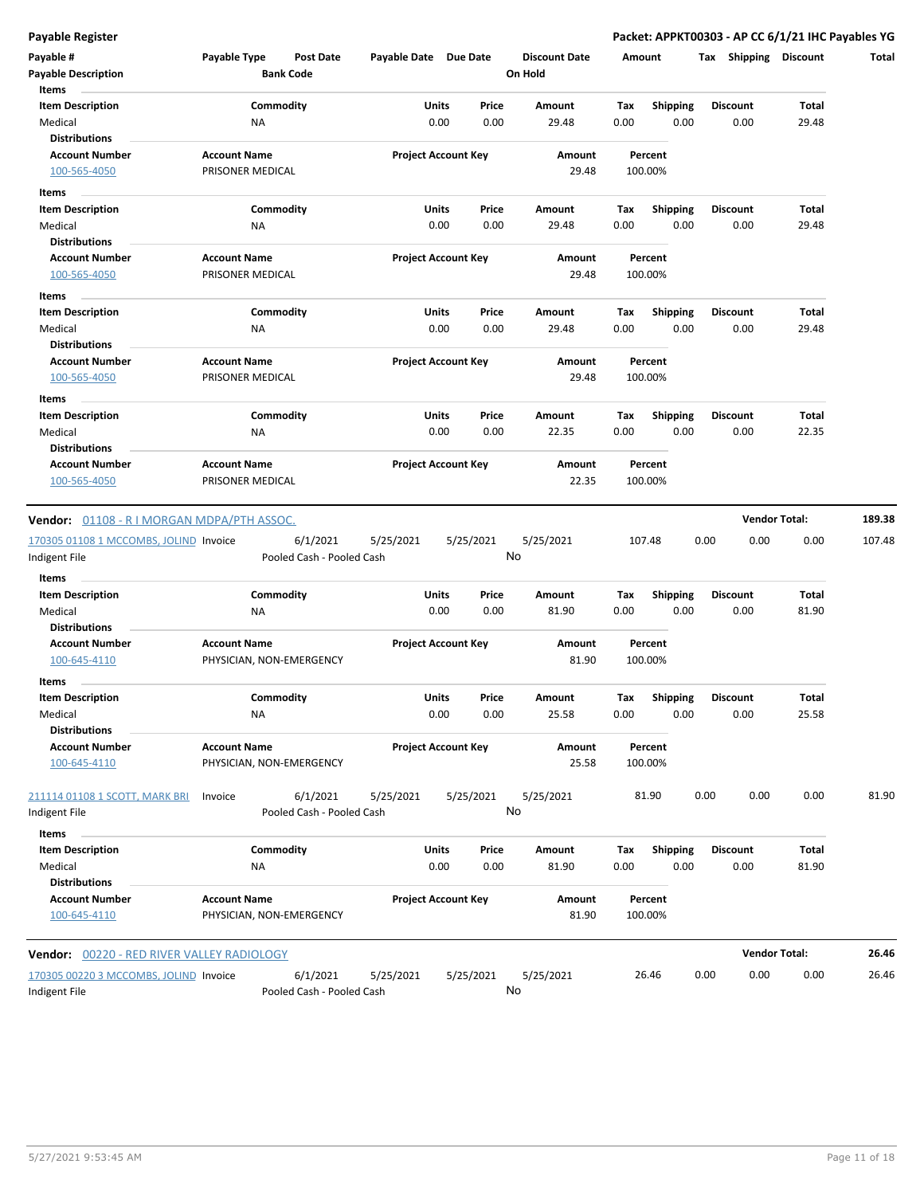| Payable #                                  | Payable Type        | <b>Post Date</b>          | Payable Date Due Date |                            | <b>Discount Date</b> | Amount      |                  | Tax Shipping            | <b>Discount</b>       | Total  |
|--------------------------------------------|---------------------|---------------------------|-----------------------|----------------------------|----------------------|-------------|------------------|-------------------------|-----------------------|--------|
| <b>Payable Description</b>                 |                     | <b>Bank Code</b>          |                       |                            | On Hold              |             |                  |                         |                       |        |
| Items                                      |                     |                           |                       |                            |                      |             |                  |                         |                       |        |
| <b>Item Description</b><br>Medical         | NA                  | Commodity                 | Units                 | Price<br>0.00<br>0.00      | Amount<br>29.48      | Tax<br>0.00 | Shipping<br>0.00 | <b>Discount</b><br>0.00 | <b>Total</b><br>29.48 |        |
| <b>Distributions</b>                       |                     |                           |                       |                            |                      |             |                  |                         |                       |        |
| <b>Account Number</b>                      | <b>Account Name</b> |                           |                       | <b>Project Account Key</b> | Amount               |             | Percent          |                         |                       |        |
| 100-565-4050                               | PRISONER MEDICAL    |                           |                       |                            | 29.48                | 100.00%     |                  |                         |                       |        |
| Items                                      |                     |                           |                       |                            |                      |             |                  |                         |                       |        |
| <b>Item Description</b>                    |                     | Commodity                 | Units                 | Price                      | Amount               | Тах         | Shipping         | <b>Discount</b>         | Total                 |        |
| Medical                                    | ΝA                  |                           |                       | 0.00<br>0.00               | 29.48                | 0.00        | 0.00             | 0.00                    | 29.48                 |        |
| <b>Distributions</b>                       |                     |                           |                       |                            |                      |             |                  |                         |                       |        |
| <b>Account Number</b>                      | <b>Account Name</b> |                           |                       | <b>Project Account Key</b> | Amount               |             | Percent          |                         |                       |        |
| 100-565-4050                               | PRISONER MEDICAL    |                           |                       |                            | 29.48                | 100.00%     |                  |                         |                       |        |
| Items                                      |                     |                           |                       |                            |                      |             |                  |                         |                       |        |
| <b>Item Description</b>                    |                     | Commodity                 | Units                 | Price                      | Amount               | Tax         | <b>Shipping</b>  | <b>Discount</b>         | Total                 |        |
| Medical                                    | NA                  |                           |                       | 0.00<br>0.00               | 29.48                | 0.00        | 0.00             | 0.00                    | 29.48                 |        |
| <b>Distributions</b>                       |                     |                           |                       |                            |                      |             |                  |                         |                       |        |
| <b>Account Number</b>                      | <b>Account Name</b> |                           |                       | <b>Project Account Key</b> | Amount               |             | Percent          |                         |                       |        |
| 100-565-4050                               | PRISONER MEDICAL    |                           |                       |                            | 29.48                | 100.00%     |                  |                         |                       |        |
| Items                                      |                     |                           |                       |                            |                      |             |                  |                         |                       |        |
| <b>Item Description</b>                    |                     | Commodity                 | Units                 | Price                      | Amount               | Tax         | <b>Shipping</b>  | <b>Discount</b>         | <b>Total</b>          |        |
| Medical                                    | ΝA                  |                           |                       | 0.00<br>0.00               | 22.35                | 0.00        | 0.00             | 0.00                    | 22.35                 |        |
| <b>Distributions</b>                       |                     |                           |                       |                            |                      |             |                  |                         |                       |        |
| <b>Account Number</b>                      | <b>Account Name</b> |                           |                       | <b>Project Account Key</b> | Amount               |             | Percent          |                         |                       |        |
| 100-565-4050                               | PRISONER MEDICAL    |                           |                       |                            | 22.35                | 100.00%     |                  |                         |                       |        |
|                                            |                     |                           |                       |                            |                      |             |                  |                         |                       |        |
| Vendor: 01108 - R I MORGAN MDPA/PTH ASSOC. |                     |                           |                       |                            |                      |             |                  |                         | <b>Vendor Total:</b>  | 189.38 |
| 170305 01108 1 MCCOMBS, JOLIND Invoice     |                     | 6/1/2021                  | 5/25/2021             | 5/25/2021                  | 5/25/2021            | 107.48      |                  | 0.00                    | 0.00<br>0.00          | 107.48 |
| Indigent File                              |                     | Pooled Cash - Pooled Cash |                       |                            | No                   |             |                  |                         |                       |        |
| Items                                      |                     |                           |                       |                            |                      |             |                  |                         |                       |        |
| <b>Item Description</b>                    |                     | Commodity                 | Units                 | Price                      | Amount               | Tax         | <b>Shipping</b>  | <b>Discount</b>         | Total                 |        |
| Medical                                    | NA                  |                           |                       | 0.00<br>0.00               | 81.90                | 0.00        | 0.00             | 0.00                    | 81.90                 |        |
| <b>Distributions</b>                       |                     |                           |                       |                            |                      |             |                  |                         |                       |        |
| <b>Account Number</b>                      | <b>Account Name</b> |                           |                       | <b>Project Account Key</b> | Amount               |             | Percent          |                         |                       |        |
| 100-645-4110                               |                     | PHYSICIAN, NON-EMERGENCY  |                       |                            | 81.90                | 100.00%     |                  |                         |                       |        |
| Items                                      |                     |                           |                       |                            |                      |             |                  |                         |                       |        |
| <b>Item Description</b>                    |                     | Commodity                 | Units                 | Price                      | Amount               | Тах         | <b>Shipping</b>  | <b>Discount</b>         | Total                 |        |
| Medical                                    | NA                  |                           |                       | 0.00<br>0.00               | 25.58                | 0.00        | 0.00             | 0.00                    | 25.58                 |        |
| <b>Distributions</b>                       |                     |                           |                       |                            |                      |             |                  |                         |                       |        |
| <b>Account Number</b>                      | <b>Account Name</b> |                           |                       | <b>Project Account Key</b> | Amount               |             | Percent          |                         |                       |        |
| 100-645-4110                               |                     | PHYSICIAN, NON-EMERGENCY  |                       |                            | 25.58                | 100.00%     |                  |                         |                       |        |
| 211114 01108 1 SCOTT, MARK BRI             | Invoice             | 6/1/2021                  | 5/25/2021             | 5/25/2021                  | 5/25/2021            |             | 81.90            | 0.00                    | 0.00<br>0.00          | 81.90  |
| Indigent File                              |                     | Pooled Cash - Pooled Cash |                       |                            | No                   |             |                  |                         |                       |        |
|                                            |                     |                           |                       |                            |                      |             |                  |                         |                       |        |
| Items                                      |                     |                           |                       |                            |                      |             |                  |                         |                       |        |
| <b>Item Description</b>                    |                     | Commodity                 |                       | Units<br>Price             | Amount               | Tax         | <b>Shipping</b>  | <b>Discount</b>         | Total                 |        |
| Medical                                    | ΝA                  |                           |                       | 0.00<br>0.00               | 81.90                | 0.00        | 0.00             | 0.00                    | 81.90                 |        |
| <b>Distributions</b>                       |                     |                           |                       |                            |                      |             |                  |                         |                       |        |
| <b>Account Number</b><br>100-645-4110      | <b>Account Name</b> |                           |                       | <b>Project Account Key</b> | Amount<br>81.90      | 100.00%     | Percent          |                         |                       |        |
|                                            |                     | PHYSICIAN, NON-EMERGENCY  |                       |                            |                      |             |                  |                         |                       |        |
|                                            |                     |                           |                       |                            |                      |             |                  |                         | <b>Vendor Total:</b>  | 26.46  |
| Vendor: 00220 - RED RIVER VALLEY RADIOLOGY |                     |                           |                       |                            |                      |             |                  |                         |                       |        |
| 170305 00220 3 MCCOMBS, JOLIND Invoice     |                     | 6/1/2021                  | 5/25/2021             | 5/25/2021                  | 5/25/2021            |             | 26.46            | 0.00                    | 0.00<br>0.00          | 26.46  |

Indigent File **Pooled Cash - Pooled Cash** 

No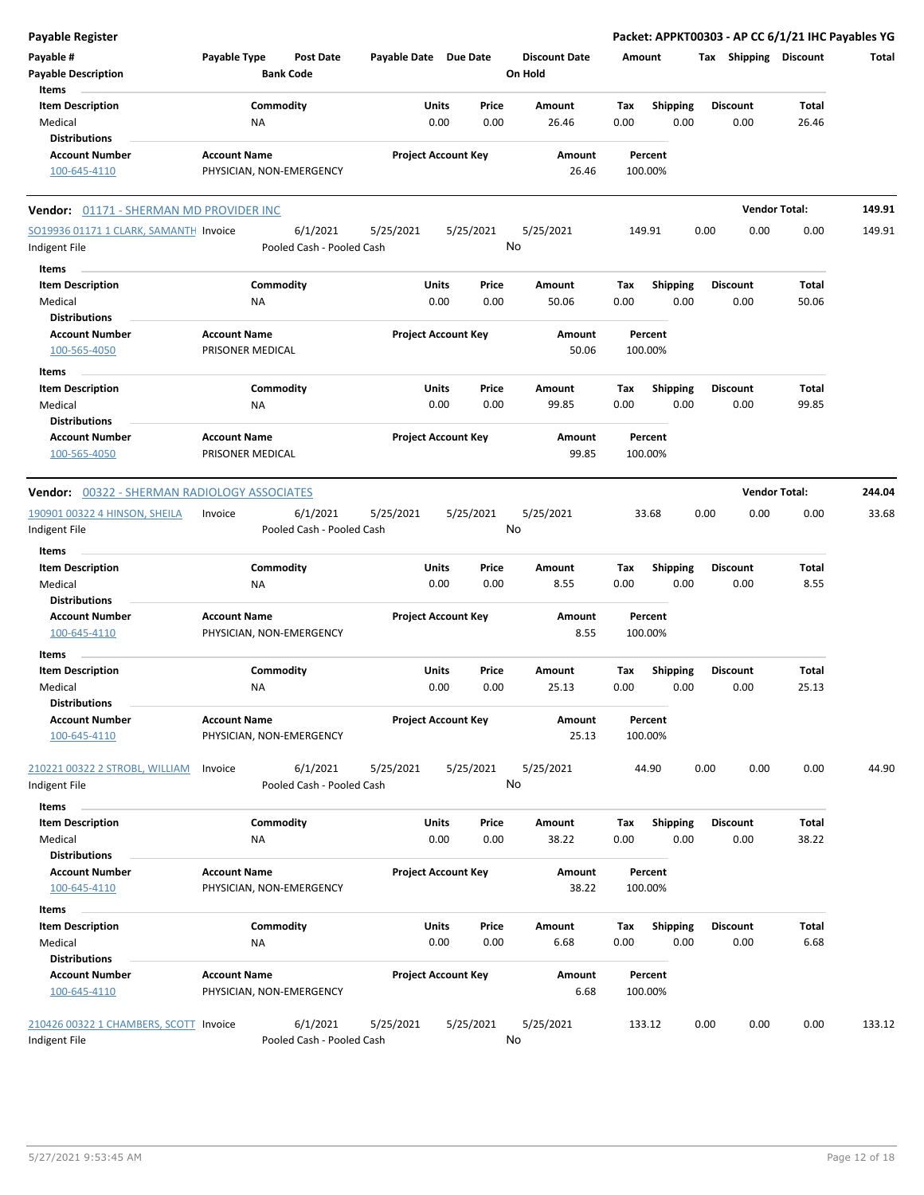| <b>Payable Register</b>                             |                                                      |                       |                            |                                 |                        | Packet: APPKT00303 - AP CC 6/1/21 IHC Payables YG |                      |        |
|-----------------------------------------------------|------------------------------------------------------|-----------------------|----------------------------|---------------------------------|------------------------|---------------------------------------------------|----------------------|--------|
| Payable #<br><b>Payable Description</b>             | Payable Type<br><b>Post Date</b><br><b>Bank Code</b> | Payable Date Due Date |                            | <b>Discount Date</b><br>On Hold | Amount                 | Tax Shipping Discount                             |                      | Total  |
| Items<br><b>Item Description</b>                    | Commodity                                            |                       | Units<br>Price             | Amount                          | <b>Shipping</b><br>Tax | <b>Discount</b>                                   | Total                |        |
| Medical                                             | ΝA                                                   |                       | 0.00<br>0.00               | 26.46                           | 0.00<br>0.00           | 0.00                                              | 26.46                |        |
| <b>Distributions</b>                                |                                                      |                       |                            |                                 |                        |                                                   |                      |        |
| <b>Account Number</b>                               | <b>Account Name</b>                                  |                       | <b>Project Account Key</b> | Amount                          | Percent                |                                                   |                      |        |
| 100-645-4110                                        | PHYSICIAN, NON-EMERGENCY                             |                       |                            | 26.46                           | 100.00%                |                                                   |                      |        |
| Vendor: 01171 - SHERMAN MD PROVIDER INC             |                                                      |                       |                            |                                 |                        |                                                   | <b>Vendor Total:</b> | 149.91 |
| SO19936 01171 1 CLARK, SAMANTH Invoice              | 6/1/2021                                             | 5/25/2021             | 5/25/2021                  | 5/25/2021                       | 149.91                 | 0.00<br>0.00                                      | 0.00                 | 149.91 |
| Indigent File                                       | Pooled Cash - Pooled Cash                            |                       |                            | No                              |                        |                                                   |                      |        |
| Items                                               |                                                      |                       |                            |                                 |                        |                                                   |                      |        |
| <b>Item Description</b>                             | Commodity                                            |                       | Units<br>Price             | Amount                          | Tax<br><b>Shipping</b> | <b>Discount</b>                                   | Total                |        |
| Medical                                             | ΝA                                                   |                       | 0.00<br>0.00               | 50.06                           | 0.00<br>0.00           | 0.00                                              | 50.06                |        |
| <b>Distributions</b>                                |                                                      |                       |                            |                                 |                        |                                                   |                      |        |
| <b>Account Number</b>                               | <b>Account Name</b>                                  |                       | <b>Project Account Key</b> | Amount                          | Percent                |                                                   |                      |        |
| 100-565-4050                                        | PRISONER MEDICAL                                     |                       |                            | 50.06                           | 100.00%                |                                                   |                      |        |
| Items                                               |                                                      |                       |                            |                                 |                        |                                                   |                      |        |
| <b>Item Description</b>                             | Commodity                                            |                       | Units<br>Price             | Amount                          | <b>Shipping</b><br>Tax | Discount                                          | Total                |        |
| Medical                                             | NA                                                   |                       | 0.00<br>0.00               | 99.85                           | 0.00<br>0.00           | 0.00                                              | 99.85                |        |
| <b>Distributions</b>                                |                                                      |                       |                            |                                 |                        |                                                   |                      |        |
| <b>Account Number</b>                               | <b>Account Name</b>                                  |                       | <b>Project Account Key</b> | Amount                          | Percent                |                                                   |                      |        |
| 100-565-4050                                        | PRISONER MEDICAL                                     |                       |                            | 99.85                           | 100.00%                |                                                   |                      |        |
|                                                     |                                                      |                       |                            |                                 |                        |                                                   |                      |        |
| <b>Vendor: 00322 - SHERMAN RADIOLOGY ASSOCIATES</b> |                                                      |                       |                            |                                 |                        |                                                   | <b>Vendor Total:</b> | 244.04 |
| 190901 00322 4 HINSON, SHEILA                       | 6/1/2021<br>Invoice                                  | 5/25/2021             | 5/25/2021                  | 5/25/2021                       | 33.68                  | 0.00<br>0.00                                      | 0.00                 | 33.68  |
| Indigent File                                       | Pooled Cash - Pooled Cash                            |                       |                            | No                              |                        |                                                   |                      |        |
| Items                                               |                                                      |                       |                            |                                 |                        |                                                   |                      |        |
| <b>Item Description</b>                             | Commodity                                            |                       | Units<br>Price             | Amount                          | <b>Shipping</b><br>Tax | <b>Discount</b>                                   | Total                |        |
| Medical                                             | NA                                                   |                       | 0.00<br>0.00               | 8.55                            | 0.00<br>0.00           | 0.00                                              | 8.55                 |        |
| <b>Distributions</b>                                |                                                      |                       |                            |                                 |                        |                                                   |                      |        |
| <b>Account Number</b>                               | <b>Account Name</b>                                  |                       | <b>Project Account Key</b> | Amount                          | Percent                |                                                   |                      |        |
| 100-645-4110                                        | PHYSICIAN, NON-EMERGENCY                             |                       |                            | 8.55                            | 100.00%                |                                                   |                      |        |
| Items                                               |                                                      |                       |                            |                                 |                        |                                                   |                      |        |
| <b>Item Description</b>                             | Commodity                                            |                       | Units<br>Price             | Amount                          | Tax<br><b>Shipping</b> | <b>Discount</b>                                   | Total                |        |
| Medical                                             | NA                                                   |                       | 0.00<br>0.00               | 25.13                           | 0.00<br>0.00           | 0.00                                              | 25.13                |        |
| <b>Distributions</b>                                |                                                      |                       |                            |                                 |                        |                                                   |                      |        |
| <b>Account Number</b><br>100-645-4110               | <b>Account Name</b><br>PHYSICIAN, NON-EMERGENCY      |                       | <b>Project Account Key</b> | Amount<br>25.13                 | Percent<br>100.00%     |                                                   |                      |        |
|                                                     |                                                      |                       |                            |                                 |                        |                                                   |                      |        |
| 210221 00322 2 STROBL, WILLIAM<br>Indigent File     | 6/1/2021<br>Invoice<br>Pooled Cash - Pooled Cash     | 5/25/2021             | 5/25/2021                  | 5/25/2021<br>No                 | 44.90                  | 0.00<br>0.00                                      | 0.00                 | 44.90  |
| Items                                               |                                                      |                       |                            |                                 |                        |                                                   |                      |        |
| <b>Item Description</b>                             | Commodity                                            |                       | <b>Units</b><br>Price      | Amount                          | Tax<br>Shipping        | <b>Discount</b>                                   | Total                |        |
| Medical                                             | NA                                                   |                       | 0.00<br>0.00               | 38.22                           | 0.00<br>0.00           | 0.00                                              | 38.22                |        |
| <b>Distributions</b>                                |                                                      |                       |                            |                                 |                        |                                                   |                      |        |
| <b>Account Number</b>                               | <b>Account Name</b>                                  |                       | <b>Project Account Key</b> | Amount                          | Percent                |                                                   |                      |        |
| 100-645-4110                                        | PHYSICIAN, NON-EMERGENCY                             |                       |                            | 38.22                           | 100.00%                |                                                   |                      |        |
| Items                                               |                                                      |                       |                            |                                 |                        |                                                   |                      |        |
| <b>Item Description</b>                             | Commodity                                            |                       | Units<br>Price             | Amount                          | Tax<br><b>Shipping</b> | Discount                                          | Total                |        |
| Medical                                             | ΝA                                                   |                       | 0.00<br>0.00               | 6.68                            | 0.00<br>0.00           | 0.00                                              | 6.68                 |        |
| <b>Distributions</b>                                |                                                      |                       |                            |                                 |                        |                                                   |                      |        |
| <b>Account Number</b>                               | <b>Account Name</b>                                  |                       | <b>Project Account Key</b> | Amount                          | Percent                |                                                   |                      |        |
| 100-645-4110                                        | PHYSICIAN, NON-EMERGENCY                             |                       |                            | 6.68                            | 100.00%                |                                                   |                      |        |
| 210426 00322 1 CHAMBERS, SCOTT Invoice              | 6/1/2021                                             | 5/25/2021             | 5/25/2021                  | 5/25/2021                       | 133.12                 | 0.00<br>0.00                                      | 0.00                 | 133.12 |
| Indigent File                                       | Pooled Cash - Pooled Cash                            |                       |                            | No                              |                        |                                                   |                      |        |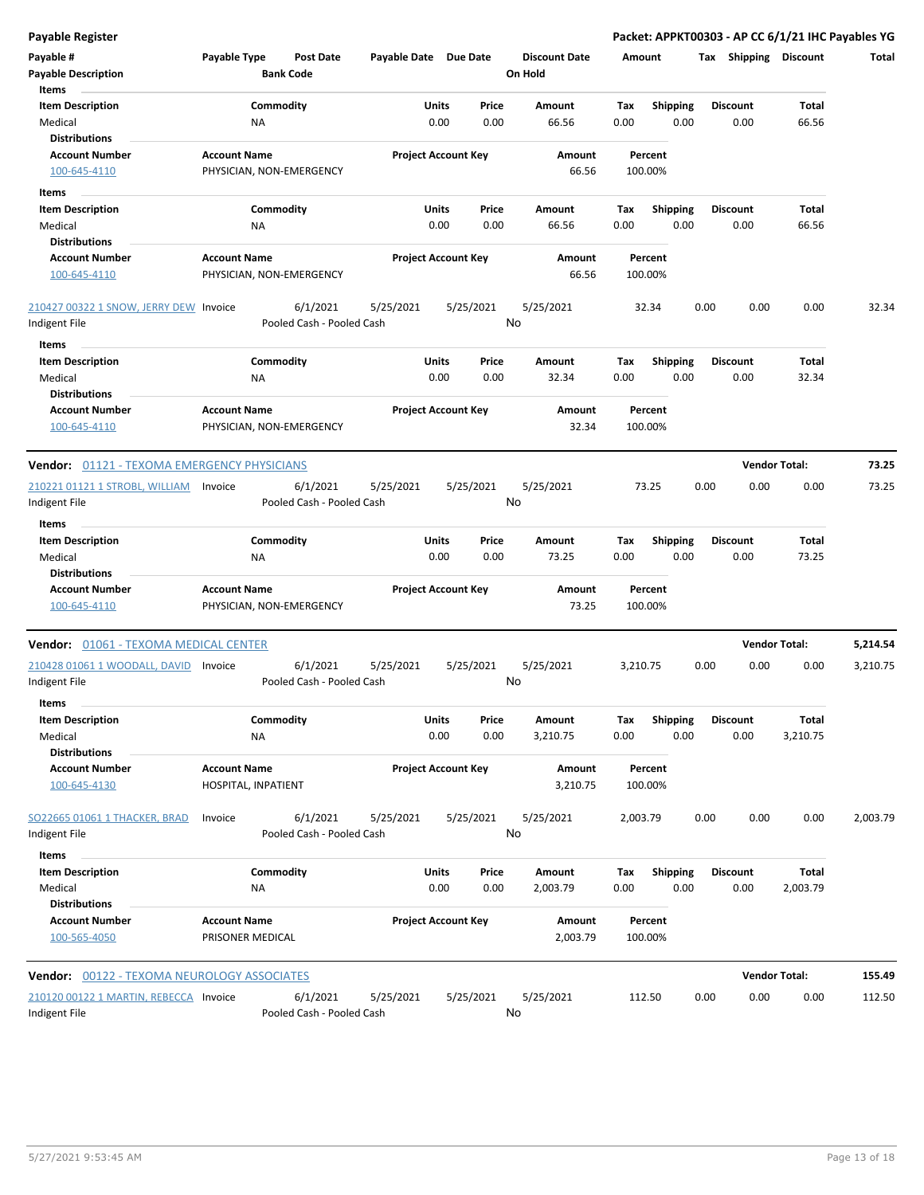| <b>Payable Register</b>                                 |                                                 |                                       |                       |                            |                 |                                 |             |                         |      |                         | Packet: APPKT00303 - AP CC 6/1/21 IHC Payables YG |          |
|---------------------------------------------------------|-------------------------------------------------|---------------------------------------|-----------------------|----------------------------|-----------------|---------------------------------|-------------|-------------------------|------|-------------------------|---------------------------------------------------|----------|
| Payable #<br><b>Payable Description</b>                 | Payable Type                                    | <b>Post Date</b><br><b>Bank Code</b>  | Payable Date Due Date |                            |                 | <b>Discount Date</b><br>On Hold | Amount      |                         |      | Tax Shipping Discount   |                                                   | Total    |
| <b>Items</b>                                            |                                                 |                                       |                       |                            |                 |                                 |             |                         |      |                         |                                                   |          |
| <b>Item Description</b>                                 | Commodity                                       |                                       |                       | Units                      | Price           | Amount                          | Tax         | Shipping                |      | <b>Discount</b>         | <b>Total</b>                                      |          |
| Medical                                                 | ΝA                                              |                                       |                       | 0.00                       | 0.00            | 66.56                           | 0.00        | 0.00                    |      | 0.00                    | 66.56                                             |          |
| <b>Distributions</b>                                    |                                                 |                                       |                       |                            |                 |                                 |             |                         |      |                         |                                                   |          |
| <b>Account Number</b>                                   | <b>Account Name</b>                             |                                       |                       | <b>Project Account Key</b> |                 | Amount                          |             | Percent                 |      |                         |                                                   |          |
| 100-645-4110                                            | PHYSICIAN, NON-EMERGENCY                        |                                       |                       |                            |                 | 66.56                           | 100.00%     |                         |      |                         |                                                   |          |
| Items                                                   |                                                 |                                       |                       |                            |                 |                                 |             |                         |      |                         |                                                   |          |
| <b>Item Description</b>                                 | Commodity                                       |                                       |                       | Units                      | Price           | Amount                          | Tax         | <b>Shipping</b>         |      | <b>Discount</b>         | <b>Total</b>                                      |          |
| Medical                                                 | ΝA                                              |                                       |                       | 0.00                       | 0.00            | 66.56                           | 0.00        | 0.00                    |      | 0.00                    | 66.56                                             |          |
| <b>Distributions</b>                                    |                                                 |                                       |                       |                            |                 |                                 |             |                         |      |                         |                                                   |          |
| <b>Account Number</b><br>100-645-4110                   | <b>Account Name</b><br>PHYSICIAN, NON-EMERGENCY |                                       |                       | <b>Project Account Key</b> |                 | Amount<br>66.56                 | 100.00%     | Percent                 |      |                         |                                                   |          |
| 210427 00322 1 SNOW, JERRY DEW Invoice<br>Indigent File |                                                 | 6/1/2021<br>Pooled Cash - Pooled Cash | 5/25/2021             |                            | 5/25/2021<br>No | 5/25/2021                       |             | 32.34                   | 0.00 | 0.00                    | 0.00                                              | 32.34    |
|                                                         |                                                 |                                       |                       |                            |                 |                                 |             |                         |      |                         |                                                   |          |
| Items<br><b>Item Description</b><br>Medical             | Commodity<br>ΝA                                 |                                       |                       | Units<br>0.00              | Price<br>0.00   | Amount<br>32.34                 | Tax<br>0.00 | <b>Shipping</b><br>0.00 |      | <b>Discount</b><br>0.00 | Total<br>32.34                                    |          |
| <b>Distributions</b>                                    |                                                 |                                       |                       |                            |                 |                                 |             |                         |      |                         |                                                   |          |
| <b>Account Number</b><br>100-645-4110                   | <b>Account Name</b><br>PHYSICIAN, NON-EMERGENCY |                                       |                       | <b>Project Account Key</b> |                 | <b>Amount</b><br>32.34          | 100.00%     | Percent                 |      |                         |                                                   |          |
| <b>Vendor: 01121 - TEXOMA EMERGENCY PHYSICIANS</b>      |                                                 |                                       |                       |                            |                 |                                 |             |                         |      | <b>Vendor Total:</b>    |                                                   | 73.25    |
| 210221 01121 1 STROBL, WILLIAM<br>Indigent File         | Invoice                                         | 6/1/2021<br>Pooled Cash - Pooled Cash | 5/25/2021             |                            | 5/25/2021<br>No | 5/25/2021                       |             | 73.25                   | 0.00 | 0.00                    | 0.00                                              | 73.25    |
| Items                                                   |                                                 |                                       |                       |                            |                 |                                 |             |                         |      |                         |                                                   |          |
| <b>Item Description</b>                                 | Commodity                                       |                                       |                       | Units                      | Price           | Amount                          | Tax         | <b>Shipping</b>         |      | <b>Discount</b>         | <b>Total</b>                                      |          |
| Medical<br><b>Distributions</b>                         | ΝA                                              |                                       |                       | 0.00                       | 0.00            | 73.25                           | 0.00        | 0.00                    |      | 0.00                    | 73.25                                             |          |
| <b>Account Number</b><br>100-645-4110                   | <b>Account Name</b><br>PHYSICIAN, NON-EMERGENCY |                                       |                       | <b>Project Account Key</b> |                 | Amount<br>73.25                 | 100.00%     | Percent                 |      |                         |                                                   |          |
| <b>Vendor: 01061 - TEXOMA MEDICAL CENTER</b>            |                                                 |                                       |                       |                            |                 |                                 |             |                         |      |                         | <b>Vendor Total:</b>                              | 5,214.54 |
| 210428 01061 1 WOODALL, DAVID<br>Indigent File          | Invoice                                         | 6/1/2021<br>Pooled Cash - Pooled Cash | 5/25/2021             |                            | 5/25/2021<br>No | 5/25/2021                       | 3,210.75    |                         | 0.00 | 0.00                    | 0.00                                              | 3,210.75 |
| Items                                                   |                                                 |                                       |                       |                            |                 |                                 |             |                         |      |                         |                                                   |          |
| <b>Item Description</b>                                 | Commodity                                       |                                       |                       | <b>Units</b>               | Price           | Amount                          | Tax         | <b>Shipping</b>         |      | <b>Discount</b>         | Total                                             |          |
| Medical                                                 | NA                                              |                                       |                       | 0.00                       | 0.00            | 3,210.75                        | 0.00        | 0.00                    |      | 0.00                    | 3,210.75                                          |          |
| <b>Distributions</b>                                    |                                                 |                                       |                       |                            |                 |                                 |             |                         |      |                         |                                                   |          |
| <b>Account Number</b><br>100-645-4130                   | <b>Account Name</b><br>HOSPITAL, INPATIENT      |                                       |                       | <b>Project Account Key</b> |                 | Amount<br>3,210.75              | 100.00%     | Percent                 |      |                         |                                                   |          |
| SO22665 01061 1 THACKER, BRAD<br>Indigent File          | Invoice                                         | 6/1/2021<br>Pooled Cash - Pooled Cash | 5/25/2021             |                            | 5/25/2021<br>No | 5/25/2021                       | 2,003.79    |                         | 0.00 | 0.00                    | 0.00                                              | 2,003.79 |
| Items                                                   |                                                 |                                       |                       |                            |                 |                                 |             |                         |      |                         |                                                   |          |
| <b>Item Description</b>                                 | Commodity                                       |                                       |                       | Units                      | Price           | Amount                          | Tax         | <b>Shipping</b>         |      | <b>Discount</b>         | Total                                             |          |
| Medical                                                 | ΝA                                              |                                       |                       | 0.00                       | 0.00            | 2,003.79                        | 0.00        | 0.00                    |      | 0.00                    | 2,003.79                                          |          |
| <b>Distributions</b>                                    |                                                 |                                       |                       |                            |                 |                                 |             |                         |      |                         |                                                   |          |
| <b>Account Number</b><br>100-565-4050                   | <b>Account Name</b><br>PRISONER MEDICAL         |                                       |                       | <b>Project Account Key</b> |                 | Amount<br>2,003.79              | 100.00%     | Percent                 |      |                         |                                                   |          |
| <b>Vendor: 00122 - TEXOMA NEUROLOGY ASSOCIATES</b>      |                                                 |                                       |                       |                            |                 |                                 |             |                         |      |                         | <b>Vendor Total:</b>                              | 155.49   |
| 210120 00122 1 MARTIN, REBECCA Invoice                  |                                                 | 6/1/2021                              | 5/25/2021             |                            | 5/25/2021       | 5/25/2021                       | 112.50      |                         | 0.00 | 0.00                    | 0.00                                              | 112.50   |
| Indigent File                                           |                                                 | Pooled Cash - Pooled Cash             |                       |                            | No              |                                 |             |                         |      |                         |                                                   |          |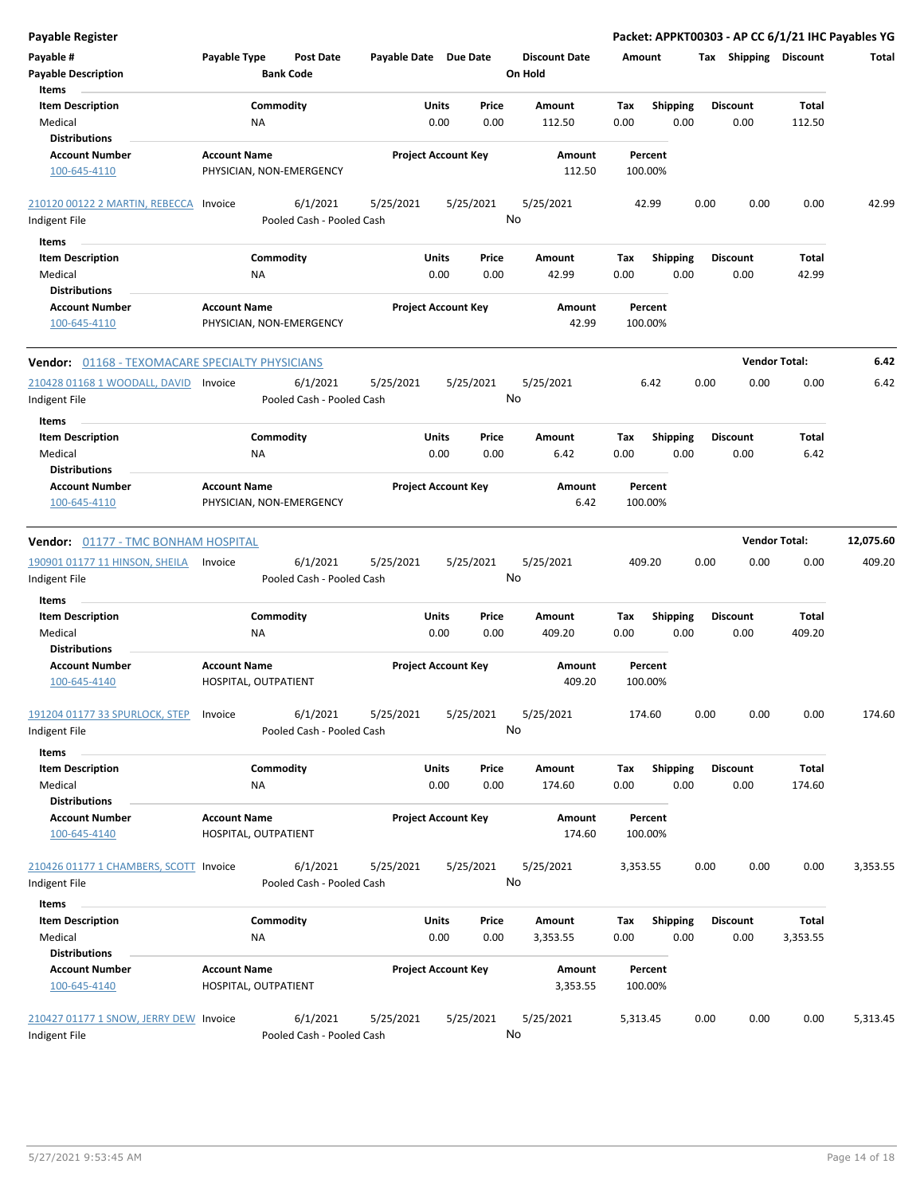| <b>Payable Register</b>                                |                                             |                                       |                            |               |                 |                                 |             |                         |      |                         |                      | Packet: APPKT00303 - AP CC 6/1/21 IHC Payables YG |
|--------------------------------------------------------|---------------------------------------------|---------------------------------------|----------------------------|---------------|-----------------|---------------------------------|-------------|-------------------------|------|-------------------------|----------------------|---------------------------------------------------|
| Payable #<br><b>Payable Description</b>                | Payable Type                                | <b>Post Date</b><br><b>Bank Code</b>  | Payable Date Due Date      |               |                 | <b>Discount Date</b><br>On Hold | Amount      |                         |      | Tax Shipping Discount   |                      | Total                                             |
| Items<br><b>Item Description</b>                       |                                             | Commodity                             |                            | Units         | Price           | Amount                          | Tax         | <b>Shipping</b>         |      | <b>Discount</b>         | <b>Total</b>         |                                                   |
| Medical                                                | ΝA                                          |                                       |                            | 0.00          | 0.00            | 112.50                          | 0.00        | 0.00                    |      | 0.00                    | 112.50               |                                                   |
| <b>Distributions</b>                                   |                                             |                                       |                            |               |                 |                                 |             |                         |      |                         |                      |                                                   |
| <b>Account Number</b>                                  | <b>Account Name</b>                         |                                       | <b>Project Account Key</b> |               |                 | Amount                          |             | Percent                 |      |                         |                      |                                                   |
| 100-645-4110                                           |                                             | PHYSICIAN, NON-EMERGENCY              |                            |               |                 | 112.50                          |             | 100.00%                 |      |                         |                      |                                                   |
| 210120 00122 2 MARTIN, REBECCA Invoice                 |                                             | 6/1/2021                              | 5/25/2021                  |               | 5/25/2021       | 5/25/2021                       |             | 42.99                   | 0.00 | 0.00                    | 0.00                 | 42.99                                             |
| Indigent File                                          |                                             | Pooled Cash - Pooled Cash             |                            |               | No              |                                 |             |                         |      |                         |                      |                                                   |
| Items                                                  |                                             |                                       |                            |               |                 |                                 |             |                         |      |                         |                      |                                                   |
| <b>Item Description</b>                                |                                             | Commodity                             |                            | Units         | Price           | Amount                          | Tax         | <b>Shipping</b>         |      | <b>Discount</b>         | Total                |                                                   |
| Medical                                                | <b>NA</b>                                   |                                       |                            | 0.00          | 0.00            | 42.99                           | 0.00        | 0.00                    |      | 0.00                    | 42.99                |                                                   |
| <b>Distributions</b>                                   |                                             |                                       |                            |               |                 |                                 |             |                         |      |                         |                      |                                                   |
| <b>Account Number</b><br>100-645-4110                  | <b>Account Name</b>                         | PHYSICIAN, NON-EMERGENCY              | <b>Project Account Key</b> |               |                 | Amount<br>42.99                 |             | Percent<br>100.00%      |      |                         |                      |                                                   |
| <b>Vendor: 01168 - TEXOMACARE SPECIALTY PHYSICIANS</b> |                                             |                                       |                            |               |                 |                                 |             |                         |      |                         | <b>Vendor Total:</b> | 6.42                                              |
| 210428 01168 1 WOODALL, DAVID Invoice<br>Indigent File |                                             | 6/1/2021<br>Pooled Cash - Pooled Cash | 5/25/2021                  |               | 5/25/2021<br>No | 5/25/2021                       |             | 6.42                    | 0.00 | 0.00                    | 0.00                 | 6.42                                              |
| Items                                                  |                                             |                                       |                            |               |                 |                                 |             |                         |      |                         |                      |                                                   |
| <b>Item Description</b>                                |                                             | Commodity                             |                            | Units         | Price           | Amount                          | Tax         | <b>Shipping</b>         |      | <b>Discount</b>         | Total                |                                                   |
| Medical                                                | ΝA                                          |                                       |                            | 0.00          | 0.00            | 6.42                            | 0.00        | 0.00                    |      | 0.00                    | 6.42                 |                                                   |
| <b>Distributions</b><br><b>Account Number</b>          | <b>Account Name</b>                         |                                       | <b>Project Account Key</b> |               |                 | Amount                          |             | Percent                 |      |                         |                      |                                                   |
| 100-645-4110                                           |                                             | PHYSICIAN, NON-EMERGENCY              |                            |               |                 | 6.42                            |             | 100.00%                 |      |                         |                      |                                                   |
|                                                        |                                             |                                       |                            |               |                 |                                 |             |                         |      |                         |                      |                                                   |
| Vendor: 01177 - TMC BONHAM HOSPITAL                    |                                             |                                       |                            |               |                 |                                 |             |                         |      |                         | <b>Vendor Total:</b> | 12,075.60                                         |
| 190901 01177 11 HINSON, SHEILA                         | Invoice                                     | 6/1/2021                              | 5/25/2021                  |               | 5/25/2021       | 5/25/2021                       |             | 409.20                  | 0.00 | 0.00                    | 0.00                 | 409.20                                            |
| Indigent File                                          |                                             | Pooled Cash - Pooled Cash             |                            |               | No              |                                 |             |                         |      |                         |                      |                                                   |
| <b>Items</b>                                           |                                             |                                       |                            |               |                 |                                 |             |                         |      |                         |                      |                                                   |
| <b>Item Description</b>                                |                                             | Commodity                             |                            | Units         | Price           | Amount                          | Tax         | Shipping                |      | <b>Discount</b>         | Total                |                                                   |
| Medical                                                | ΝA                                          |                                       |                            | 0.00          | 0.00            | 409.20                          | 0.00        | 0.00                    |      | 0.00                    | 409.20               |                                                   |
| <b>Distributions</b>                                   |                                             |                                       |                            |               |                 |                                 |             |                         |      |                         |                      |                                                   |
| <b>Account Number</b><br>100-645-4140                  | <b>Account Name</b><br>HOSPITAL, OUTPATIENT |                                       | <b>Project Account Key</b> |               |                 | Amount<br>409.20                |             | Percent<br>100.00%      |      |                         |                      |                                                   |
| 191204 01177 33 SPURLOCK, STEP                         | Invoice                                     | 6/1/2021                              | 5/25/2021                  |               | 5/25/2021       | 5/25/2021                       |             | 174.60                  | 0.00 | 0.00                    | 0.00                 | 174.60                                            |
| Indigent File                                          |                                             | Pooled Cash - Pooled Cash             |                            |               | No              |                                 |             |                         |      |                         |                      |                                                   |
| Items                                                  |                                             |                                       |                            |               |                 |                                 |             |                         |      |                         |                      |                                                   |
| <b>Item Description</b><br>Medical                     | NA                                          | Commodity                             |                            | Units<br>0.00 | Price<br>0.00   | Amount<br>174.60                | Tax<br>0.00 | <b>Shipping</b><br>0.00 |      | <b>Discount</b><br>0.00 | Total<br>174.60      |                                                   |
| <b>Distributions</b>                                   |                                             |                                       |                            |               |                 |                                 |             |                         |      |                         |                      |                                                   |
| <b>Account Number</b><br>100-645-4140                  | <b>Account Name</b><br>HOSPITAL, OUTPATIENT |                                       | <b>Project Account Key</b> |               |                 | Amount<br>174.60                |             | Percent<br>100.00%      |      |                         |                      |                                                   |
| 210426 01177 1 CHAMBERS, SCOTT Invoice                 |                                             | 6/1/2021                              | 5/25/2021                  |               | 5/25/2021       | 5/25/2021                       | 3,353.55    |                         | 0.00 | 0.00                    | 0.00                 | 3,353.55                                          |
| Indigent File                                          |                                             | Pooled Cash - Pooled Cash             |                            |               | No              |                                 |             |                         |      |                         |                      |                                                   |
| Items                                                  |                                             |                                       |                            |               |                 |                                 |             |                         |      |                         |                      |                                                   |
| <b>Item Description</b>                                |                                             | Commodity                             |                            | Units         | Price           | Amount                          | Tax         | <b>Shipping</b>         |      | <b>Discount</b>         | Total                |                                                   |
| Medical                                                | ΝA                                          |                                       |                            | 0.00          | 0.00            | 3,353.55                        | 0.00        | 0.00                    |      | 0.00                    | 3,353.55             |                                                   |
| <b>Distributions</b>                                   |                                             |                                       |                            |               |                 |                                 |             |                         |      |                         |                      |                                                   |
| <b>Account Number</b>                                  | <b>Account Name</b>                         |                                       | <b>Project Account Key</b> |               |                 | Amount                          |             | Percent                 |      |                         |                      |                                                   |
| 100-645-4140                                           | HOSPITAL, OUTPATIENT                        |                                       |                            |               |                 | 3,353.55                        |             | 100.00%                 |      |                         |                      |                                                   |
| 210427 01177 1 SNOW, JERRY DEW Invoice                 |                                             | 6/1/2021                              | 5/25/2021                  |               | 5/25/2021       | 5/25/2021                       | 5,313.45    |                         | 0.00 | 0.00                    | 0.00                 | 5,313.45                                          |
| Indigent File                                          |                                             | Pooled Cash - Pooled Cash             |                            |               | No              |                                 |             |                         |      |                         |                      |                                                   |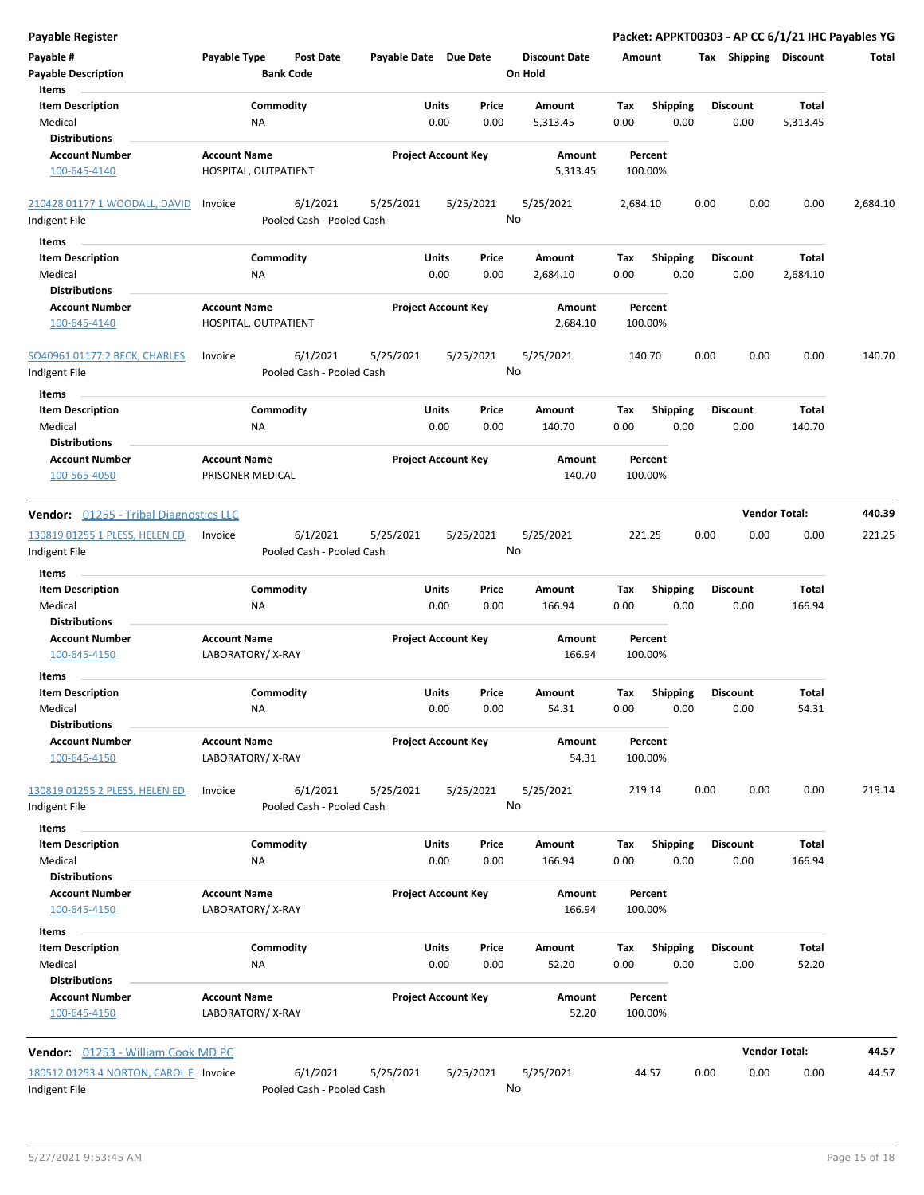| <b>Payable Register</b>                                             |                                             |                                       |                            |               |               |                                 |             |                         |      |                         |                      | Packet: APPKT00303 - AP CC 6/1/21 IHC Payables YG |
|---------------------------------------------------------------------|---------------------------------------------|---------------------------------------|----------------------------|---------------|---------------|---------------------------------|-------------|-------------------------|------|-------------------------|----------------------|---------------------------------------------------|
| Payable #<br><b>Payable Description</b>                             | Payable Type                                | <b>Post Date</b><br><b>Bank Code</b>  | Payable Date Due Date      |               |               | <b>Discount Date</b><br>On Hold | Amount      |                         |      | Tax Shipping Discount   |                      | Total                                             |
| Items<br><b>Item Description</b><br>Medical<br><b>Distributions</b> | <b>NA</b>                                   | Commodity                             |                            | Units<br>0.00 | Price<br>0.00 | Amount<br>5,313.45              | Tax<br>0.00 | <b>Shipping</b><br>0.00 |      | <b>Discount</b><br>0.00 | Total<br>5,313.45    |                                                   |
| <b>Account Number</b><br>100-645-4140                               | <b>Account Name</b><br>HOSPITAL, OUTPATIENT |                                       | <b>Project Account Key</b> |               |               | Amount<br>5,313.45              |             | Percent<br>100.00%      |      |                         |                      |                                                   |
| 210428 01177 1 WOODALL, DAVID<br>Indigent File                      | Invoice                                     | 6/1/2021<br>Pooled Cash - Pooled Cash | 5/25/2021                  |               | 5/25/2021     | 5/25/2021<br>No                 | 2,684.10    |                         | 0.00 | 0.00                    | 0.00                 | 2,684.10                                          |
| Items                                                               |                                             |                                       |                            |               |               |                                 |             |                         |      |                         |                      |                                                   |
| <b>Item Description</b><br>Medical<br><b>Distributions</b>          | ΝA                                          | Commodity                             |                            | Units<br>0.00 | Price<br>0.00 | Amount<br>2,684.10              | Tax<br>0.00 | <b>Shipping</b><br>0.00 |      | <b>Discount</b><br>0.00 | Total<br>2,684.10    |                                                   |
| <b>Account Number</b><br>100-645-4140                               | <b>Account Name</b><br>HOSPITAL, OUTPATIENT |                                       | <b>Project Account Key</b> |               |               | Amount<br>2,684.10              |             | Percent<br>100.00%      |      |                         |                      |                                                   |
| SO40961 01177 2 BECK, CHARLES<br>Indigent File                      | Invoice                                     | 6/1/2021<br>Pooled Cash - Pooled Cash | 5/25/2021                  |               | 5/25/2021     | 5/25/2021<br>No                 |             | 140.70                  | 0.00 | 0.00                    | 0.00                 | 140.70                                            |
| Items                                                               |                                             |                                       |                            |               |               |                                 |             |                         |      |                         |                      |                                                   |
| <b>Item Description</b><br>Medical                                  | Commodity<br>ΝA                             |                                       |                            | Units<br>0.00 | Price<br>0.00 | Amount<br>140.70                | Tax<br>0.00 | <b>Shipping</b><br>0.00 |      | <b>Discount</b><br>0.00 | Total<br>140.70      |                                                   |
| <b>Distributions</b><br><b>Account Number</b><br>100-565-4050       | <b>Account Name</b><br>PRISONER MEDICAL     |                                       | <b>Project Account Key</b> |               |               | Amount<br>140.70                |             | Percent<br>100.00%      |      |                         |                      |                                                   |
| Vendor: 01255 - Tribal Diagnostics LLC                              |                                             |                                       |                            |               |               |                                 |             |                         |      | <b>Vendor Total:</b>    |                      | 440.39                                            |
| 130819 01255 1 PLESS, HELEN ED<br>Indigent File                     | Invoice                                     | 6/1/2021<br>Pooled Cash - Pooled Cash | 5/25/2021                  |               | 5/25/2021     | 5/25/2021<br>No                 |             | 221.25                  | 0.00 | 0.00                    | 0.00                 | 221.25                                            |
| Items                                                               |                                             |                                       |                            |               |               |                                 |             |                         |      |                         |                      |                                                   |
| <b>Item Description</b><br>Medical<br><b>Distributions</b>          | <b>NA</b>                                   | Commodity                             |                            | Units<br>0.00 | Price<br>0.00 | Amount<br>166.94                | Tax<br>0.00 | Shipping<br>0.00        |      | <b>Discount</b><br>0.00 | Total<br>166.94      |                                                   |
| <b>Account Number</b><br>100-645-4150                               | <b>Account Name</b><br>LABORATORY/X-RAY     |                                       | <b>Project Account Key</b> |               |               | Amount<br>166.94                |             | Percent<br>100.00%      |      |                         |                      |                                                   |
| Items                                                               |                                             |                                       |                            |               |               |                                 |             |                         |      |                         |                      |                                                   |
| <b>Item Description</b><br>Medical<br><b>Distributions</b>          | <b>NA</b>                                   | Commodity                             |                            | Units<br>0.00 | Price<br>0.00 | Amount<br>54.31                 | Tax<br>0.00 | <b>Shipping</b><br>0.00 |      | <b>Discount</b><br>0.00 | Total<br>54.31       |                                                   |
| <b>Account Number</b><br>100-645-4150                               | <b>Account Name</b><br>LABORATORY/X-RAY     |                                       | <b>Project Account Key</b> |               |               | Amount<br>54.31                 |             | Percent<br>100.00%      |      |                         |                      |                                                   |
| 130819 01255 2 PLESS, HELEN ED<br>Indigent File                     | Invoice                                     | 6/1/2021<br>Pooled Cash - Pooled Cash | 5/25/2021                  |               | 5/25/2021     | 5/25/2021<br>No                 |             | 219.14                  | 0.00 | 0.00                    | 0.00                 | 219.14                                            |
| Items                                                               |                                             |                                       |                            |               |               |                                 |             |                         |      |                         |                      |                                                   |
| <b>Item Description</b><br>Medical<br><b>Distributions</b>          | NA                                          | Commodity                             |                            | Units<br>0.00 | Price<br>0.00 | Amount<br>166.94                | Tax<br>0.00 | <b>Shipping</b><br>0.00 |      | <b>Discount</b><br>0.00 | Total<br>166.94      |                                                   |
| <b>Account Number</b><br>100-645-4150                               | <b>Account Name</b><br>LABORATORY/X-RAY     |                                       | <b>Project Account Key</b> |               |               | <b>Amount</b><br>166.94         |             | Percent<br>100.00%      |      |                         |                      |                                                   |
| Items                                                               |                                             |                                       |                            |               |               |                                 |             |                         |      |                         |                      |                                                   |
| <b>Item Description</b><br>Medical<br><b>Distributions</b>          | <b>NA</b>                                   | Commodity                             |                            | Units<br>0.00 | Price<br>0.00 | Amount<br>52.20                 | Tax<br>0.00 | <b>Shipping</b><br>0.00 |      | <b>Discount</b><br>0.00 | Total<br>52.20       |                                                   |
| <b>Account Number</b><br>100-645-4150                               | <b>Account Name</b><br>LABORATORY/X-RAY     |                                       | <b>Project Account Key</b> |               |               | Amount<br>52.20                 |             | Percent<br>100.00%      |      |                         |                      |                                                   |
| Vendor: 01253 - William Cook MD PC                                  |                                             |                                       |                            |               |               |                                 |             |                         |      |                         | <b>Vendor Total:</b> | 44.57                                             |
| 180512 01253 4 NORTON, CAROL E Invoice<br>Indigent File             |                                             | 6/1/2021<br>Pooled Cash - Pooled Cash | 5/25/2021                  |               | 5/25/2021     | 5/25/2021<br>No                 |             | 44.57                   | 0.00 | 0.00                    | 0.00                 | 44.57                                             |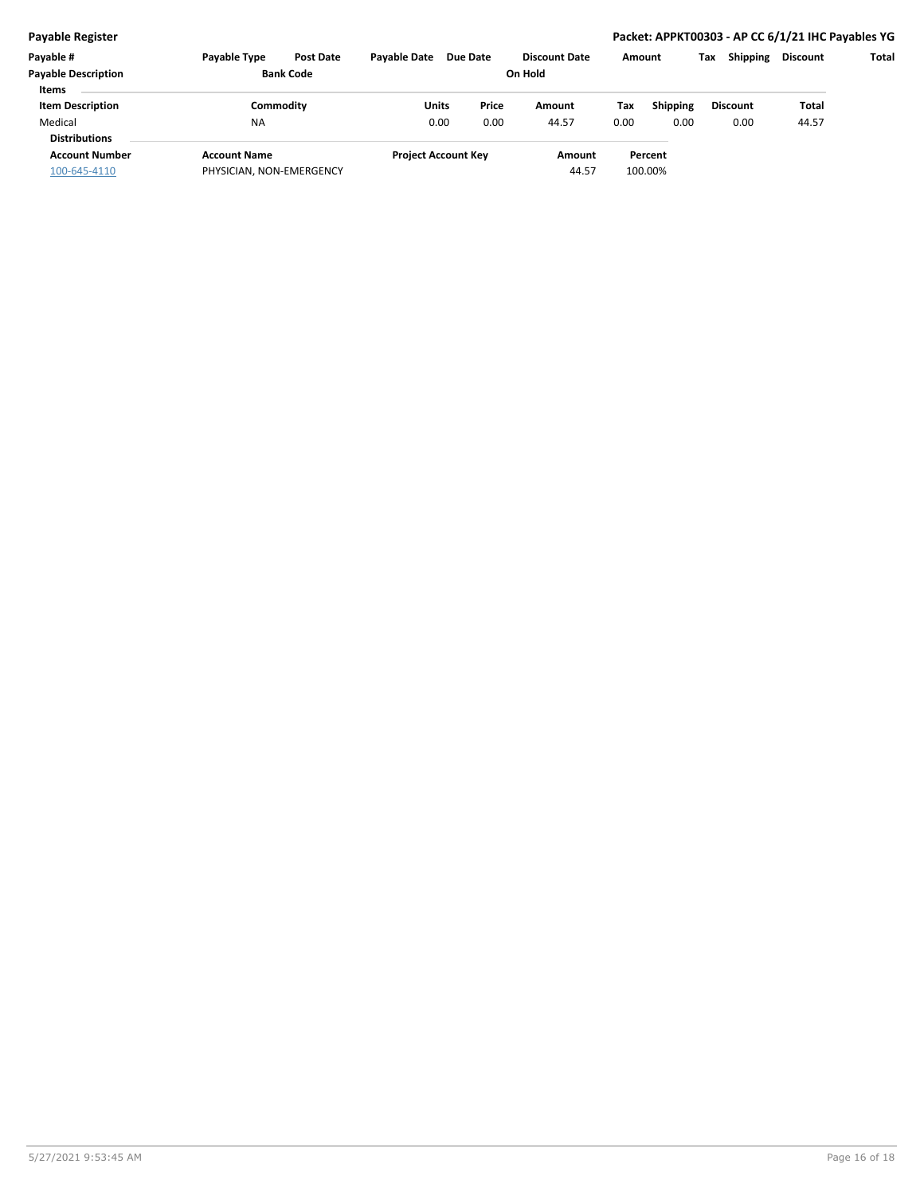| Payable #<br><b>Payable Description</b> | <b>Pavable Type</b><br><b>Bank Code</b> | <b>Post Date</b> | <b>Pavable Date</b> | <b>Due Date</b>            | <b>Discount Date</b><br>On Hold |       | Amount          | Тах             | <b>Shipping</b> | <b>Discount</b> | Total |
|-----------------------------------------|-----------------------------------------|------------------|---------------------|----------------------------|---------------------------------|-------|-----------------|-----------------|-----------------|-----------------|-------|
| <b>Items</b>                            |                                         |                  |                     |                            |                                 |       |                 |                 |                 |                 |       |
| <b>Item Description</b>                 | Commoditv                               |                  | Units               | Price                      | Amount                          | Tax   | <b>Shipping</b> | <b>Discount</b> |                 | Total           |       |
| Medical                                 | <b>NA</b>                               |                  | 0.00                | 0.00                       | 44.57                           | 0.00  | 0.00            |                 | 0.00            | 44.57           |       |
| <b>Distributions</b>                    |                                         |                  |                     |                            |                                 |       |                 |                 |                 |                 |       |
| <b>Account Number</b>                   | <b>Account Name</b>                     |                  |                     | <b>Project Account Key</b> | Amount                          |       | Percent         |                 |                 |                 |       |
| 100-645-4110                            | PHYSICIAN, NON-EMERGENCY                |                  |                     |                            |                                 | 44.57 | 100.00%         |                 |                 |                 |       |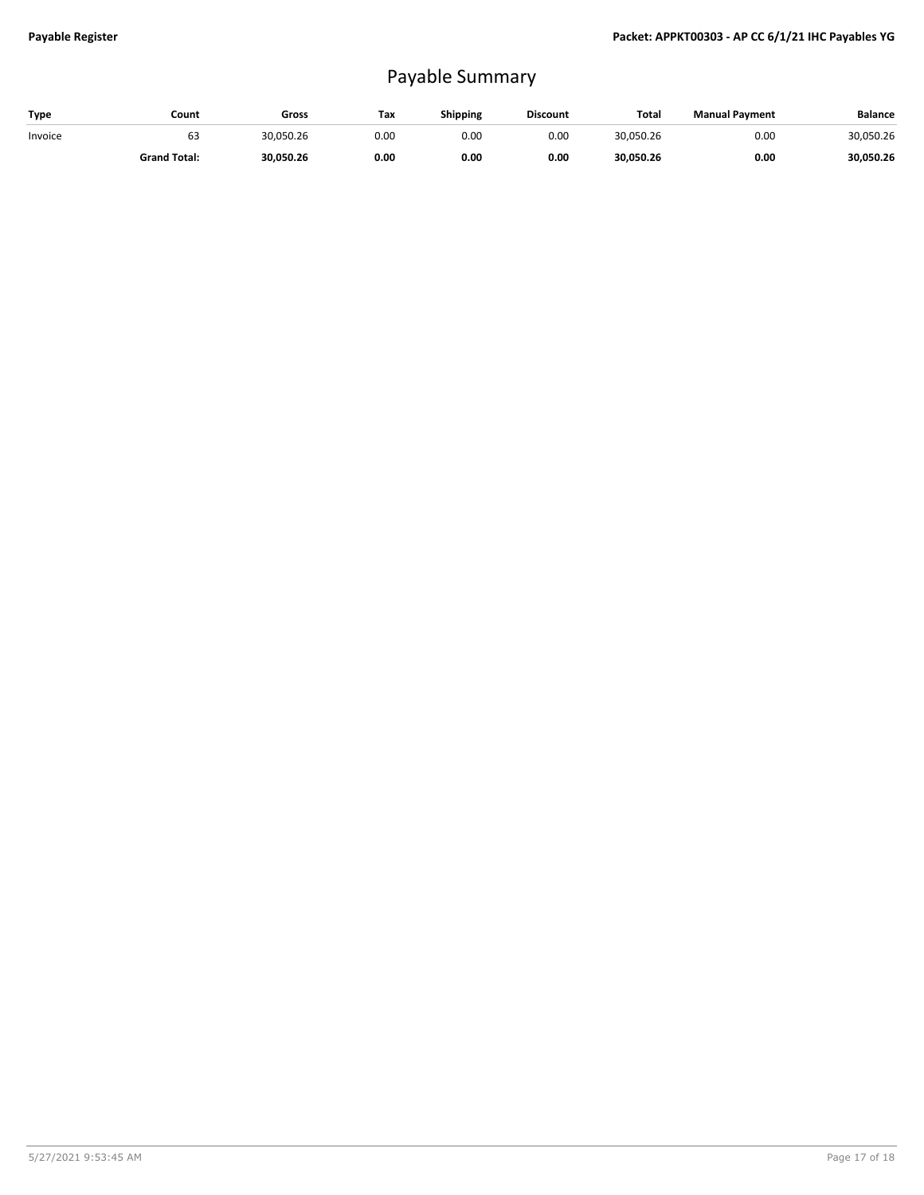# Payable Summary

| Type    | Count               | Gross     | Tax  | Shipping | <b>Discount</b> | Total     | <b>Manual Payment</b> | <b>Balance</b> |
|---------|---------------------|-----------|------|----------|-----------------|-----------|-----------------------|----------------|
| Invoice | ьs                  | 30,050.26 | 0.00 | 0.00     | 0.00            | 30,050.26 | 0.00                  | 30,050.26      |
|         | <b>Grand Total:</b> | 30,050.26 | 0.00 | 0.00     | 0.00            | 30,050.26 | 0.00                  | 30,050.26      |